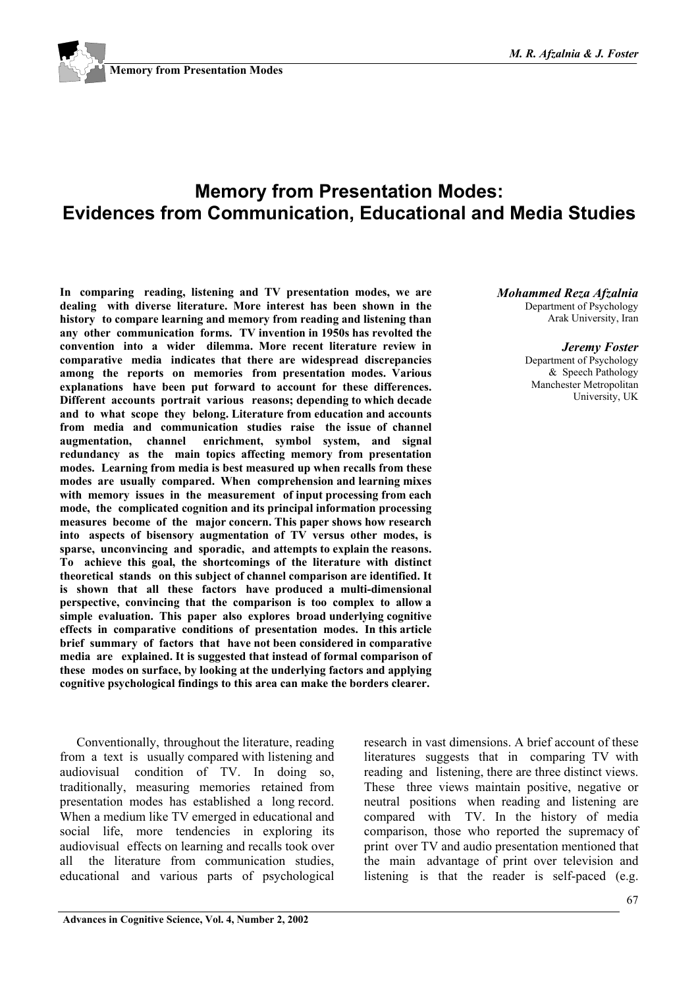

# **Memory from Presentation Modes: Evidences from Communication, Educational and Media Studies**

**In comparing reading, listening and TV presentation modes, we are dealing with diverse literature. More interest has been shown in the history to compare learning and memory from reading and listening than any other communication forms. TV invention in 1950s has revolted the convention into a wider dilemma. More recent literature review in comparative media indicates that there are widespread discrepancies among the reports on memories from presentation modes. Various explanations have been put forward to account for these differences. Different accounts portrait various reasons; depending to which decade and to what scope they belong. Literature from education and accounts from media and communication studies raise the issue of channel augmentation, channel enrichment, symbol system, and signal redundancy as the main topics affecting memory from presentation modes. Learning from media is best measured up when recalls from these modes are usually compared. When comprehension and learning mixes with memory issues in the measurement of input processing from each mode, the complicated cognition and its principal information processing measures become of the major concern. This paper shows how research into aspects of bisensory augmentation of TV versus other modes, is sparse, unconvincing and sporadic, and attempts to explain the reasons. To achieve this goal, the shortcomings of the literature with distinct theoretical stands on this subject of channel comparison are identified. It is shown that all these factors have produced a multi-dimensional perspective, convincing that the comparison is too complex to allow a simple evaluation. This paper also explores broad underlying cognitive effects in comparative conditions of presentation modes. In this article brief summary of factors that have not been considered in comparative media are explained. It is suggested that instead of formal comparison of these modes on surface, by looking at the underlying factors and applying cognitive psychological findings to this area can make the borders clearer.**

Conventionally, throughout the literature, reading from a text is usually compared with listening and audiovisual condition of TV. In doing so, traditionally, measuring memories retained from presentation modes has established a long record. When a medium like TV emerged in educational and social life, more tendencies in exploring its audiovisual effects on learning and recalls took over all the literature from communication studies, educational and various parts of psychological

#### *Mohammed Reza Afzalnia*

Department of Psychology Arak University, Iran

#### *Jeremy Foster*

Department of Psychology & Speech Pathology Manchester Metropolitan University, UK

research in vast dimensions. A brief account of these literatures suggests that in comparing TV with reading and listening, there are three distinct views. These three views maintain positive, negative or neutral positions when reading and listening are compared with TV. In the history of media comparison, those who reported the supremacy of print over TV and audio presentation mentioned that the main advantage of print over television and listening is that the reader is self-paced (e.g.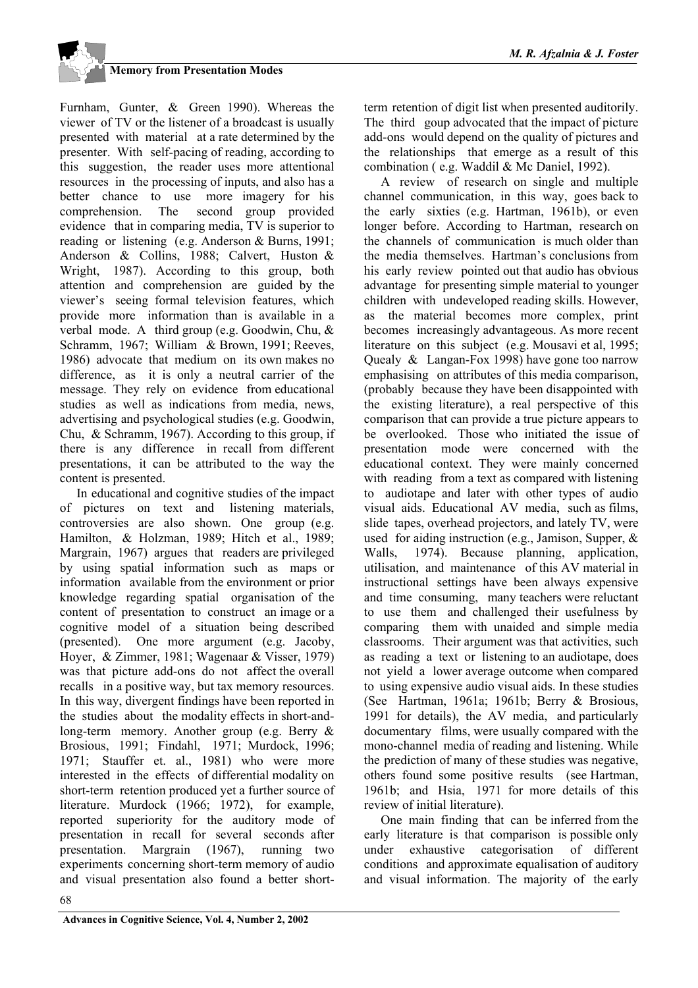Furnham, Gunter, & Green 1990). Whereas the viewer of TV or the listener of a broadcast is usually presented with material at a rate determined by the presenter. With self-pacing of reading, according to this suggestion, the reader uses more attentional resources in the processing of inputs, and also has a better chance to use more imagery for his comprehension. The second group provided evidence that in comparing media, TV is superior to reading or listening (e.g. Anderson & Burns, 1991; Anderson & Collins, 1988; Calvert, Huston & Wright, 1987). According to this group, both attention and comprehension are guided by the viewer's seeing formal television features, which provide more information than is available in a verbal mode. A third group (e.g. Goodwin, Chu, & Schramm, 1967; William & Brown, 1991; Reeves, 1986) advocate that medium on its own makes no difference, as it is only a neutral carrier of the message. They rely on evidence from educational studies as well as indications from media, news, advertising and psychological studies (e.g. Goodwin, Chu, & Schramm, 1967). According to this group, if there is any difference in recall from different presentations, it can be attributed to the way the content is presented.

In educational and cognitive studies of the impact of pictures on text and listening materials, controversies are also shown. One group (e.g. Hamilton, & Holzman, 1989; Hitch et al., 1989; Margrain, 1967) argues that readers are privileged by using spatial information such as maps or information available from the environment or prior knowledge regarding spatial organisation of the content of presentation to construct an image or a cognitive model of a situation being described (presented). One more argument (e.g. Jacoby, Hoyer, & Zimmer, 1981; Wagenaar & Visser, 1979) was that picture add-ons do not affect the overall recalls in a positive way, but tax memory resources. In this way, divergent findings have been reported in the studies about the modality effects in short-andlong-term memory. Another group (e.g. Berry & Brosious, 1991; Findahl, 1971; Murdock, 1996; 1971; Stauffer et. al., 1981) who were more interested in the effects of differential modality on short-term retention produced yet a further source of literature. Murdock (1966; 1972), for example, reported superiority for the auditory mode of presentation in recall for several seconds after presentation. Margrain (1967), running two experiments concerning short-term memory of audio and visual presentation also found a better shortterm retention of digit list when presented auditorily. The third goup advocated that the impact of picture add-ons would depend on the quality of pictures and the relationships that emerge as a result of this combination ( e.g. Waddil & Mc Daniel, 1992).

A review of research on single and multiple channel communication, in this way, goes back to the early sixties (e.g. Hartman, 1961b), or even longer before. According to Hartman, research on the channels of communication is much older than the media themselves. Hartman's conclusions from his early review pointed out that audio has obvious advantage for presenting simple material to younger children with undeveloped reading skills. However, as the material becomes more complex, print becomes increasingly advantageous. As more recent literature on this subject (e.g. Mousavi et al, 1995; Quealy & Langan-Fox 1998) have gone too narrow emphasising on attributes of this media comparison, (probably because they have been disappointed with the existing literature), a real perspective of this comparison that can provide a true picture appears to be overlooked. Those who initiated the issue of presentation mode were concerned with the educational context. They were mainly concerned with reading from a text as compared with listening to audiotape and later with other types of audio visual aids. Educational AV media, such as films, slide tapes, overhead projectors, and lately TV, were used for aiding instruction (e.g., Jamison, Supper, & Walls, 1974). Because planning, application, utilisation, and maintenance of this AV material in instructional settings have been always expensive and time consuming, many teachers were reluctant to use them and challenged their usefulness by comparing them with unaided and simple media classrooms. Their argument was that activities, such as reading a text or listening to an audiotape, does not yield a lower average outcome when compared to using expensive audio visual aids. In these studies (See Hartman, 1961a; 1961b; Berry & Brosious, 1991 for details), the AV media, and particularly documentary films, were usually compared with the mono-channel media of reading and listening. While the prediction of many of these studies was negative, others found some positive results (see Hartman, 1961b; and Hsia, 1971 for more details of this review of initial literature).

One main finding that can be inferred from the early literature is that comparison is possible only under exhaustive categorisation of different conditions and approximate equalisation of auditory and visual information. The majority of the early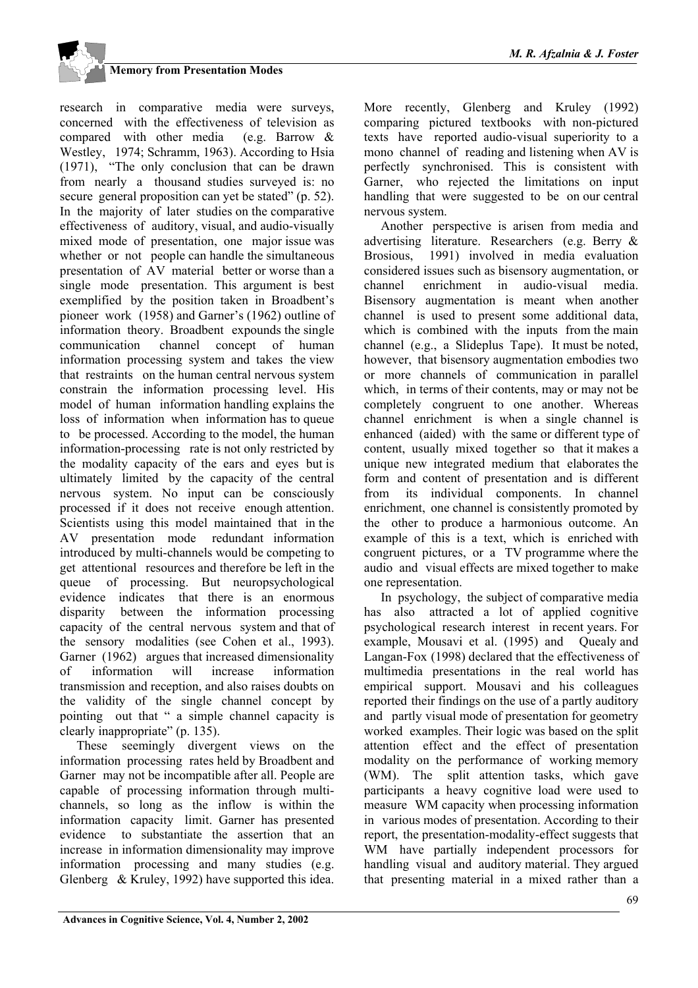research in comparative media were surveys, concerned with the effectiveness of television as compared with other media (e.g. Barrow & Westley, 1974; Schramm, 1963). According to Hsia (1971), "The only conclusion that can be drawn from nearly a thousand studies surveyed is: no secure general proposition can yet be stated" (p. 52). In the majority of later studies on the comparative effectiveness of auditory, visual, and audio-visually mixed mode of presentation, one major issue was whether or not people can handle the simultaneous presentation of AV material better or worse than a single mode presentation. This argument is best exemplified by the position taken in Broadbent's pioneer work (1958) and Garner's (1962) outline of information theory. Broadbent expounds the single communication channel concept of human information processing system and takes the view that restraints on the human central nervous system constrain the information processing level. His model of human information handling explains the loss of information when information has to queue to be processed. According to the model, the human information-processing rate is not only restricted by the modality capacity of the ears and eyes but is ultimately limited by the capacity of the central nervous system. No input can be consciously processed if it does not receive enough attention. Scientists using this model maintained that in the AV presentation mode redundant information introduced by multi-channels would be competing to get attentional resources and therefore be left in the queue of processing. But neuropsychological evidence indicates that there is an enormous disparity between the information processing capacity of the central nervous system and that of the sensory modalities (see Cohen et al., 1993). Garner (1962) argues that increased dimensionality of information will increase information transmission and reception, and also raises doubts on the validity of the single channel concept by pointing out that " a simple channel capacity is clearly inappropriate" (p. 135).

These seemingly divergent views on the information processing rates held by Broadbent and Garner may not be incompatible after all. People are capable of processing information through multichannels, so long as the inflow is within the information capacity limit. Garner has presented evidence to substantiate the assertion that an increase in information dimensionality may improve information processing and many studies (e.g. Glenberg & Kruley, 1992) have supported this idea.

More recently, Glenberg and Kruley (1992) comparing pictured textbooks with non-pictured texts have reported audio-visual superiority to a mono channel of reading and listening when AV is perfectly synchronised. This is consistent with Garner, who rejected the limitations on input handling that were suggested to be on our central nervous system.

Another perspective is arisen from media and advertising literature. Researchers (e.g. Berry & Brosious, 1991) involved in media evaluation considered issues such as bisensory augmentation, or channel enrichment in audio-visual media. Bisensory augmentation is meant when another channel is used to present some additional data, which is combined with the inputs from the main channel (e.g., a Slideplus Tape). It must be noted, however, that bisensory augmentation embodies two or more channels of communication in parallel which, in terms of their contents, may or may not be completely congruent to one another. Whereas channel enrichment is when a single channel is enhanced (aided) with the same or different type of content, usually mixed together so that it makes a unique new integrated medium that elaborates the form and content of presentation and is different from its individual components. In channel enrichment, one channel is consistently promoted by the other to produce a harmonious outcome. An example of this is a text, which is enriched with congruent pictures, or a TV programme where the audio and visual effects are mixed together to make one representation.

In psychology, the subject of comparative media has also attracted a lot of applied cognitive psychological research interest in recent years. For example, Mousavi et al. (1995) and Ouealy and Langan-Fox (1998) declared that the effectiveness of multimedia presentations in the real world has empirical support. Mousavi and his colleagues reported their findings on the use of a partly auditory and partly visual mode of presentation for geometry worked examples. Their logic was based on the split attention effect and the effect of presentation modality on the performance of working memory (WM). The split attention tasks, which gave participants a heavy cognitive load were used to measure WM capacity when processing information in various modes of presentation. According to their report, the presentation-modality-effect suggests that WM have partially independent processors for handling visual and auditory material. They argued that presenting material in a mixed rather than a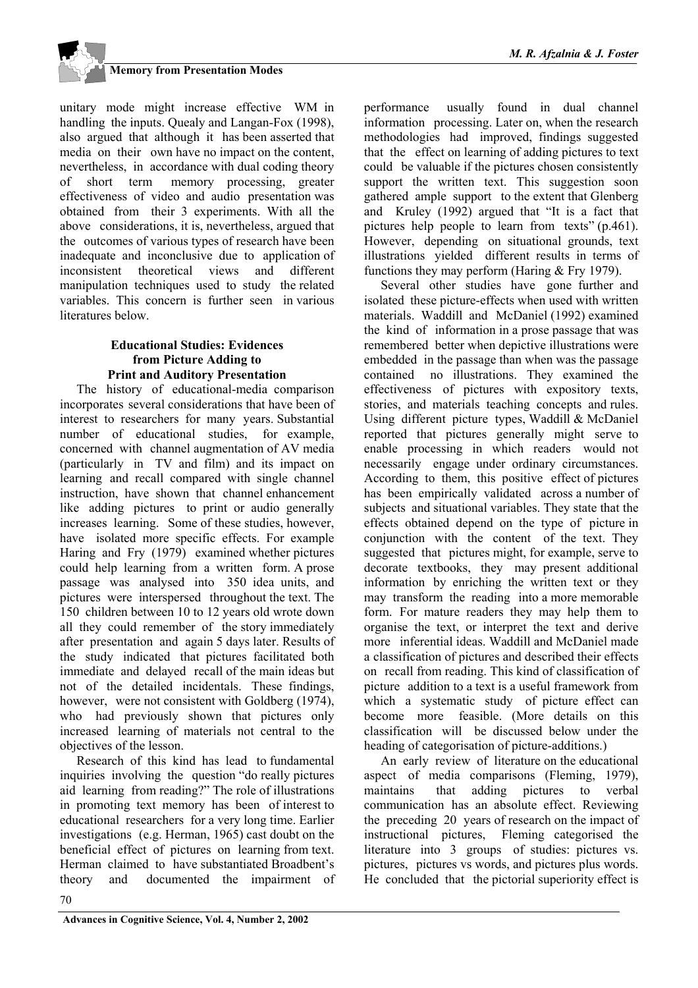

unitary mode might increase effective WM in handling the inputs. Quealy and Langan-Fox (1998), also argued that although it has been asserted that media on their own have no impact on the content, nevertheless, in accordance with dual coding theory of short term memory processing, greater effectiveness of video and audio presentation was obtained from their 3 experiments. With all the above considerations, it is, nevertheless, argued that the outcomes of various types of research have been inadequate and inconclusive due to application of inconsistent theoretical views and different manipulation techniques used to study the related variables. This concern is further seen in various literatures below.

#### **Educational Studies: Evidences from Picture Adding to Print and Auditory Presentation**

The history of educational-media comparison incorporates several considerations that have been of interest to researchers for many years. Substantial number of educational studies, for example, concerned with channel augmentation of AV media (particularly in TV and film) and its impact on learning and recall compared with single channel instruction, have shown that channel enhancement like adding pictures to print or audio generally increases learning. Some of these studies, however, have isolated more specific effects. For example Haring and Fry (1979) examined whether pictures could help learning from a written form. A prose passage was analysed into 350 idea units, and pictures were interspersed throughout the text. The 150 children between 10 to 12 years old wrote down all they could remember of the story immediately after presentation and again 5 days later. Results of the study indicated that pictures facilitated both immediate and delayed recall of the main ideas but not of the detailed incidentals. These findings, however, were not consistent with Goldberg (1974). who had previously shown that pictures only increased learning of materials not central to the objectives of the lesson.

Research of this kind has lead to fundamental inquiries involving the question "do really pictures aid learning from reading?" The role of illustrations in promoting text memory has been of interest to educational researchers for a very long time. Earlier investigations (e.g. Herman, 1965) cast doubt on the beneficial effect of pictures on learning from text. Herman claimed to have substantiated Broadbent's theory and documented the impairment of performance usually found in dual channel information processing. Later on, when the research methodologies had improved, findings suggested that the effect on learning of adding pictures to text could be valuable if the pictures chosen consistently support the written text. This suggestion soon gathered ample support to the extent that Glenberg and Kruley (1992) argued that "It is a fact that pictures help people to learn from texts" (p.461). However, depending on situational grounds, text illustrations yielded different results in terms of functions they may perform (Haring & Fry 1979).

Several other studies have gone further and isolated these picture-effects when used with written materials. Waddill and McDaniel (1992) examined the kind of information in a prose passage that was remembered better when depictive illustrations were embedded in the passage than when was the passage contained no illustrations. They examined the effectiveness of pictures with expository texts, stories, and materials teaching concepts and rules. Using different picture types, Waddill & McDaniel reported that pictures generally might serve to enable processing in which readers would not necessarily engage under ordinary circumstances. According to them, this positive effect of pictures has been empirically validated across a number of subjects and situational variables. They state that the effects obtained depend on the type of picture in conjunction with the content of the text. They suggested that pictures might, for example, serve to decorate textbooks, they may present additional information by enriching the written text or they may transform the reading into a more memorable form. For mature readers they may help them to organise the text, or interpret the text and derive more inferential ideas. Waddill and McDaniel made a classification of pictures and described their effects on recall from reading. This kind of classification of picture addition to a text is a useful framework from which a systematic study of picture effect can become more feasible. (More details on this classification will be discussed below under the heading of categorisation of picture-additions.)

An early review of literature on the educational aspect of media comparisons (Fleming, 1979), maintains that adding pictures to verbal communication has an absolute effect. Reviewing the preceding 20 years of research on the impact of instructional pictures, Fleming categorised the literature into 3 groups of studies: pictures vs. pictures, pictures vs words, and pictures plus words. He concluded that the pictorial superiority effect is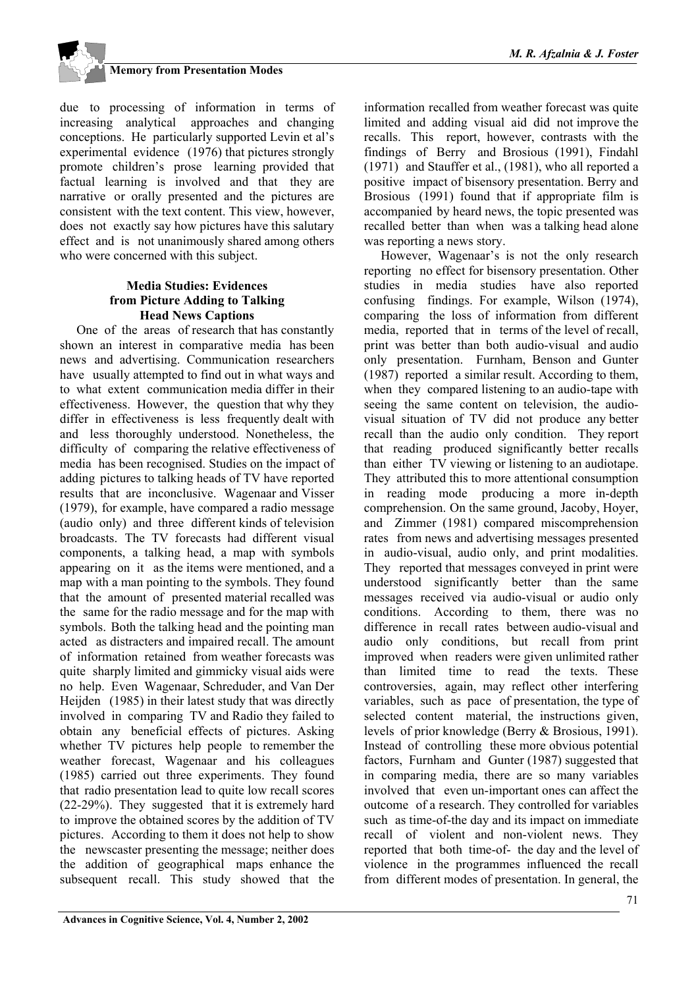

due to processing of information in terms of increasing analytical approaches and changing conceptions. He particularly supported Levin et al's experimental evidence (1976) that pictures strongly promote children's prose learning provided that factual learning is involved and that they are narrative or orally presented and the pictures are consistent with the text content. This view, however, does not exactly say how pictures have this salutary effect and is not unanimously shared among others who were concerned with this subject.

#### **Media Studies: Evidences from Picture Adding to Talking Head News Captions**

One of the areas of research that has constantly shown an interest in comparative media has been news and advertising. Communication researchers have usually attempted to find out in what ways and to what extent communication media differ in their effectiveness. However, the question that why they differ in effectiveness is less frequently dealt with and less thoroughly understood. Nonetheless, the difficulty of comparing the relative effectiveness of media has been recognised. Studies on the impact of adding pictures to talking heads of TV have reported results that are inconclusive. Wagenaar and Visser (1979), for example, have compared a radio message (audio only) and three different kinds of television broadcasts. The TV forecasts had different visual components, a talking head, a map with symbols appearing on it as the items were mentioned, and a map with a man pointing to the symbols. They found that the amount of presented material recalled was the same for the radio message and for the map with symbols. Both the talking head and the pointing man acted as distracters and impaired recall. The amount of information retained from weather forecasts was quite sharply limited and gimmicky visual aids were no help. Even Wagenaar, Schreduder, and Van Der Heijden (1985) in their latest study that was directly involved in comparing TV and Radio they failed to obtain any beneficial effects of pictures. Asking whether TV pictures help people to remember the weather forecast, Wagenaar and his colleagues (1985) carried out three experiments. They found that radio presentation lead to quite low recall scores (22-29%). They suggested that it is extremely hard to improve the obtained scores by the addition of TV pictures. According to them it does not help to show the newscaster presenting the message; neither does the addition of geographical maps enhance the subsequent recall. This study showed that the

information recalled from weather forecast was quite limited and adding visual aid did not improve the recalls. This report, however, contrasts with the findings of Berry and Brosious (1991), Findahl (1971) and Stauffer et al., (1981), who all reported a positive impact of bisensory presentation. Berry and Brosious (1991) found that if appropriate film is accompanied by heard news, the topic presented was recalled better than when was a talking head alone was reporting a news story.

However, Wagenaar's is not the only research reporting no effect for bisensory presentation. Other studies in media studies have also reported confusing findings. For example, Wilson (1974), comparing the loss of information from different media, reported that in terms of the level of recall, print was better than both audio-visual and audio only presentation. Furnham, Benson and Gunter (1987) reported a similar result. According to them, when they compared listening to an audio-tape with seeing the same content on television, the audiovisual situation of TV did not produce any better recall than the audio only condition. They report that reading produced significantly better recalls than either TV viewing or listening to an audiotape. They attributed this to more attentional consumption in reading mode producing a more in-depth comprehension. On the same ground, Jacoby, Hoyer, and Zimmer (1981) compared miscomprehension rates from news and advertising messages presented in audio-visual, audio only, and print modalities. They reported that messages conveyed in print were understood significantly better than the same messages received via audio-visual or audio only conditions. According to them, there was no difference in recall rates between audio-visual and audio only conditions, but recall from print improved when readers were given unlimited rather than limited time to read the texts. These controversies, again, may reflect other interfering variables, such as pace of presentation, the type of selected content material, the instructions given, levels of prior knowledge (Berry & Brosious, 1991). Instead of controlling these more obvious potential factors, Furnham and Gunter (1987) suggested that in comparing media, there are so many variables involved that even un-important ones can affect the outcome of a research. They controlled for variables such as time-of-the day and its impact on immediate recall of violent and non-violent news. They reported that both time-of- the day and the level of violence in the programmes influenced the recall from different modes of presentation. In general, the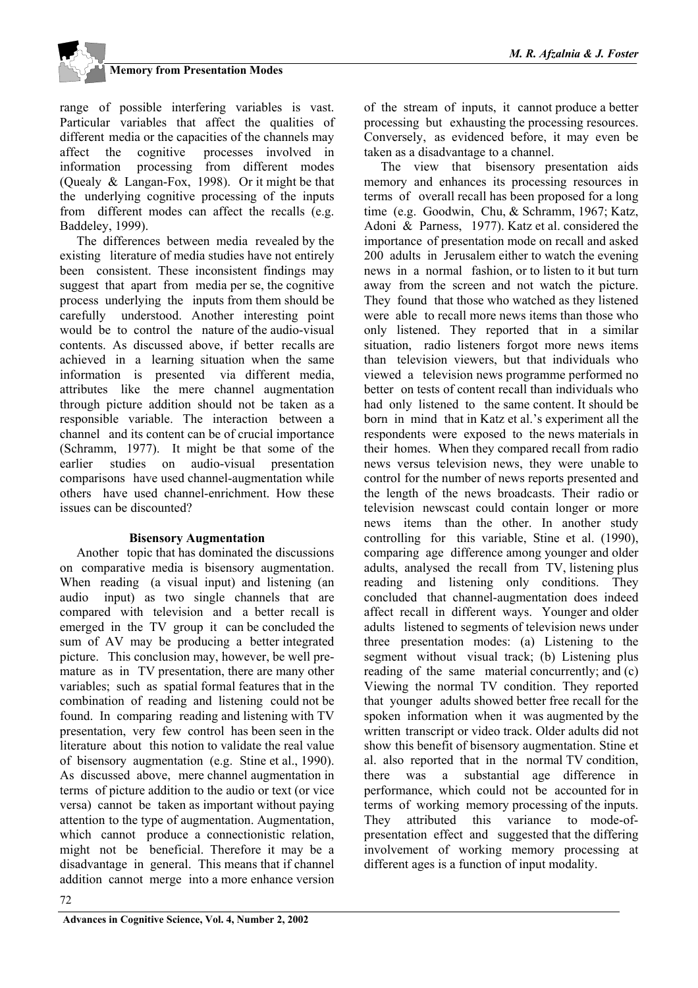range of possible interfering variables is vast. Particular variables that affect the qualities of different media or the capacities of the channels may affect the cognitive processes involved in information processing from different modes (Quealy & Langan-Fox, 1998). Or it might be that the underlying cognitive processing of the inputs from different modes can affect the recalls (e.g. Baddeley, 1999).

The differences between media revealed by the existing literature of media studies have not entirely been consistent. These inconsistent findings may suggest that apart from media per se, the cognitive process underlying the inputs from them should be carefully understood. Another interesting point would be to control the nature of the audio-visual contents. As discussed above, if better recalls are achieved in a learning situation when the same information is presented via different media, attributes like the mere channel augmentation through picture addition should not be taken as a responsible variable. The interaction between a channel and its content can be of crucial importance (Schramm, 1977). It might be that some of the earlier studies on audio-visual presentation comparisons have used channel-augmentation while others have used channel-enrichment. How these issues can be discounted?

#### **Bisensory Augmentation**

Another topic that has dominated the discussions on comparative media is bisensory augmentation. When reading (a visual input) and listening (an audio input) as two single channels that are compared with television and a better recall is emerged in the TV group it can be concluded the sum of AV may be producing a better integrated picture. This conclusion may, however, be well premature as in TV presentation, there are many other variables; such as spatial formal features that in the combination of reading and listening could not be found. In comparing reading and listening with TV presentation, very few control has been seen in the literature about this notion to validate the real value of bisensory augmentation (e.g. Stine et al., 1990). As discussed above, mere channel augmentation in terms of picture addition to the audio or text (or vice versa) cannot be taken as important without paying attention to the type of augmentation. Augmentation, which cannot produce a connectionistic relation, might not be beneficial. Therefore it may be a disadvantage in general. This means that if channel addition cannot merge into a more enhance version

of the stream of inputs, it cannot produce a better processing but exhausting the processing resources. Conversely, as evidenced before, it may even be taken as a disadvantage to a channel.

The view that bisensory presentation aids memory and enhances its processing resources in terms of overall recall has been proposed for a long time (e.g. Goodwin, Chu, & Schramm, 1967; Katz, Adoni & Parness, 1977). Katz et al. considered the importance of presentation mode on recall and asked 200 adults in Jerusalem either to watch the evening news in a normal fashion, or to listen to it but turn away from the screen and not watch the picture. They found that those who watched as they listened were able to recall more news items than those who only listened. They reported that in a similar situation, radio listeners forgot more news items than television viewers, but that individuals who viewed a television news programme performed no better on tests of content recall than individuals who had only listened to the same content. It should be born in mind that in Katz et al.'s experiment all the respondents were exposed to the news materials in their homes. When they compared recall from radio news versus television news, they were unable to control for the number of news reports presented and the length of the news broadcasts. Their radio or television newscast could contain longer or more news items than the other. In another study controlling for this variable, Stine et al. (1990), comparing age difference among younger and older adults, analysed the recall from TV, listening plus reading and listening only conditions. They concluded that channel-augmentation does indeed affect recall in different ways. Younger and older adults listened to segments of television news under three presentation modes: (a) Listening to the segment without visual track; (b) Listening plus reading of the same material concurrently; and (c) Viewing the normal TV condition. They reported that younger adults showed better free recall for the spoken information when it was augmented by the written transcript or video track. Older adults did not show this benefit of bisensory augmentation. Stine et al. also reported that in the normal TV condition, there was a substantial age difference in performance, which could not be accounted for in terms of working memory processing of the inputs. They attributed this variance to mode-ofpresentation effect and suggested that the differing involvement of working memory processing at different ages is a function of input modality.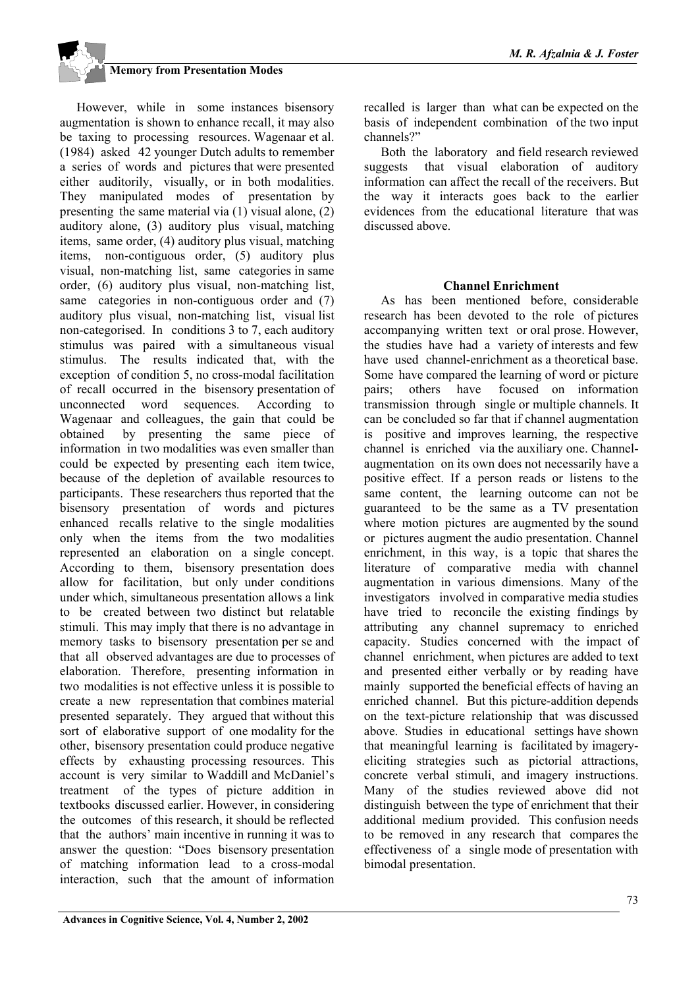However, while in some instances bisensory augmentation is shown to enhance recall, it may also be taxing to processing resources. Wagenaar et al. (1984) asked 42 younger Dutch adults to remember a series of words and pictures that were presented either auditorily, visually, or in both modalities. They manipulated modes of presentation by presenting the same material via (1) visual alone, (2) auditory alone, (3) auditory plus visual, matching items, same order, (4) auditory plus visual, matching items, non-contiguous order, (5) auditory plus visual, non-matching list, same categories in same order, (6) auditory plus visual, non-matching list, same categories in non-contiguous order and  $(7)$ auditory plus visual, non-matching list, visual list non-categorised. In conditions 3 to 7, each auditory stimulus was paired with a simultaneous visual stimulus. The results indicated that, with the exception of condition 5, no cross-modal facilitation of recall occurred in the bisensory presentation of unconnected word sequences. According to Wagenaar and colleagues, the gain that could be obtained by presenting the same piece of information in two modalities was even smaller than could be expected by presenting each item twice, because of the depletion of available resources to participants. These researchers thus reported that the bisensory presentation of words and pictures enhanced recalls relative to the single modalities only when the items from the two modalities represented an elaboration on a single concept. According to them, bisensory presentation does allow for facilitation, but only under conditions under which, simultaneous presentation allows a link to be created between two distinct but relatable stimuli. This may imply that there is no advantage in memory tasks to bisensory presentation per se and that all observed advantages are due to processes of elaboration. Therefore, presenting information in two modalities is not effective unless it is possible to create a new representation that combines material presented separately. They argued that without this sort of elaborative support of one modality for the other, bisensory presentation could produce negative effects by exhausting processing resources. This account is very similar to Waddill and McDaniel's treatment of the types of picture addition in textbooks discussed earlier. However, in considering the outcomes of this research, it should be reflected that the authors' main incentive in running it was to answer the question: "Does bisensory presentation of matching information lead to a cross-modal interaction, such that the amount of information

recalled is larger than what can be expected on the basis of independent combination of the two input channels?"

Both the laboratory and field research reviewed suggests that visual elaboration of auditory information can affect the recall of the receivers. But the way it interacts goes back to the earlier evidences from the educational literature that was discussed above.

#### **Channel Enrichment**

As has been mentioned before, considerable research has been devoted to the role of pictures accompanying written text or oral prose. However, the studies have had a variety of interests and few have used channel-enrichment as a theoretical base. Some have compared the learning of word or picture pairs; others have focused on information transmission through single or multiple channels. It can be concluded so far that if channel augmentation is positive and improves learning, the respective channel is enriched via the auxiliary one. Channelaugmentation on its own does not necessarily have a positive effect. If a person reads or listens to the same content, the learning outcome can not be guaranteed to be the same as a TV presentation where motion pictures are augmented by the sound or pictures augment the audio presentation. Channel enrichment, in this way, is a topic that shares the literature of comparative media with channel augmentation in various dimensions. Many of the investigators involved in comparative media studies have tried to reconcile the existing findings by attributing any channel supremacy to enriched capacity. Studies concerned with the impact of channel enrichment, when pictures are added to text and presented either verbally or by reading have mainly supported the beneficial effects of having an enriched channel. But this picture-addition depends on the text-picture relationship that was discussed above. Studies in educational settings have shown that meaningful learning is facilitated by imageryeliciting strategies such as pictorial attractions, concrete verbal stimuli, and imagery instructions. Many of the studies reviewed above did not distinguish between the type of enrichment that their additional medium provided. This confusion needs to be removed in any research that compares the effectiveness of a single mode of presentation with bimodal presentation.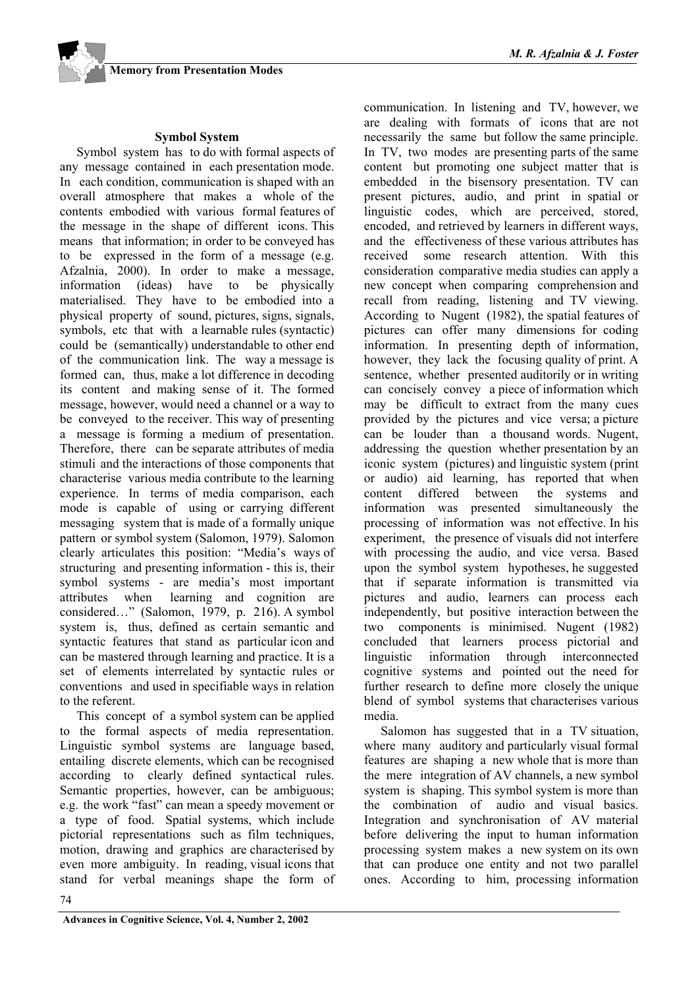#### **Symbol System**

Symbol system has to do with formal aspects of any message contained in each presentation mode. In each condition, communication is shaped with an overall atmosphere that makes a whole of the contents embodied with various formal features of the message in the shape of different icons. This means that information; in order to be conveyed has to be expressed in the form of a message (e.g. Afzalnia, 2000). In order to make a message, information (ideas) have to be physically materialised. They have to be embodied into a physical property of sound, pictures, signs, signals, symbols, etc that with a learnable rules (syntactic) could be (semantically) understandable to other end of the communication link. The way a message is formed can, thus, make a lot difference in decoding its content and making sense of it. The formed message, however, would need a channel or a way to be conveyed to the receiver. This way of presenting a message is forming a medium of presentation. Therefore, there can be separate attributes of media stimuli and the interactions of those components that characterise various media contribute to the learning experience. In terms of media comparison, each mode is capable of using or carrying different messaging system that is made of a formally unique pattern or symbol system (Salomon, 1979). Salomon clearly articulates this position: "Media's ways of structuring and presenting information - this is, their symbol systems - are media's most important attributes when learning and cognition are considered…" (Salomon, 1979, p. 216). A symbol system is, thus, defined as certain semantic and syntactic features that stand as particular icon and can be mastered through learning and practice. It is a set of elements interrelated by syntactic rules or conventions and used in specifiable ways in relation to the referent.

This concept of a symbol system can be applied to the formal aspects of media representation. Linguistic symbol systems are language based, entailing discrete elements, which can be recognised according to clearly defined syntactical rules. Semantic properties, however, can be ambiguous; e.g. the work "fast" can mean a speedy movement or a type of food. Spatial systems, which include pictorial representations such as film techniques, motion, drawing and graphics are characterised by even more ambiguity. In reading, visual icons that stand for verbal meanings shape the form of communication. In listening and TV, however, we are dealing with formats of icons that are not necessarily the same but follow the same principle. In TV, two modes are presenting parts of the same content but promoting one subject matter that is embedded in the bisensory presentation. TV can present pictures, audio, and print in spatial or linguistic codes, which are perceived, stored, encoded, and retrieved by learners in different ways, and the effectiveness of these various attributes has received some research attention. With this consideration comparative media studies can apply a new concept when comparing comprehension and recall from reading, listening and TV viewing. According to Nugent (1982), the spatial features of pictures can offer many dimensions for coding information. In presenting depth of information, however, they lack the focusing quality of print. A sentence, whether presented auditorily or in writing can concisely convey a piece of information which may be difficult to extract from the many cues provided by the pictures and vice versa; a picture can be louder than a thousand words. Nugent, addressing the question whether presentation by an iconic system (pictures) and linguistic system (print or audio) aid learning, has reported that when content differed between the systems and information was presented simultaneously the processing of information was not effective. In his experiment, the presence of visuals did not interfere with processing the audio, and vice versa. Based upon the symbol system hypotheses, he suggested that if separate information is transmitted via pictures and audio, learners can process each independently, but positive interaction between the two components is minimised. Nugent (1982) concluded that learners process pictorial and linguistic information through interconnected cognitive systems and pointed out the need for further research to define more closely the unique blend of symbol systems that characterises various media.

Salomon has suggested that in a TV situation, where many auditory and particularly visual formal features are shaping a new whole that is more than the mere integration of AV channels, a new symbol system is shaping. This symbol system is more than the combination of audio and visual basics. Integration and synchronisation of AV material before delivering the input to human information processing system makes a new system on its own that can produce one entity and not two parallel ones. According to him, processing information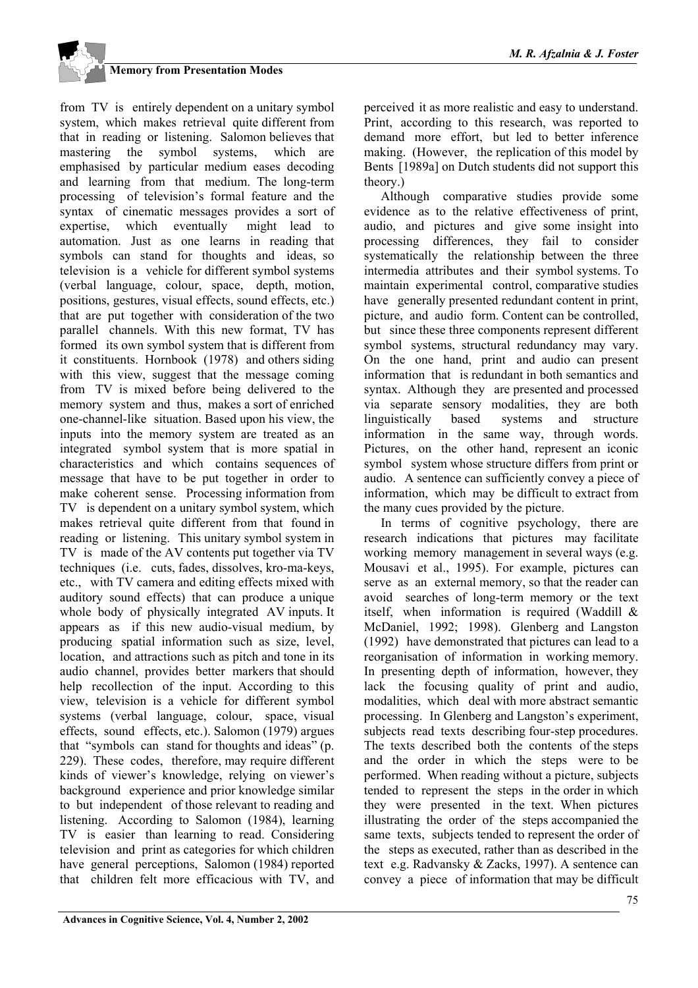from TV is entirely dependent on a unitary symbol system, which makes retrieval quite different from that in reading or listening. Salomon believes that mastering the symbol systems, which are emphasised by particular medium eases decoding and learning from that medium. The long-term processing of television's formal feature and the syntax of cinematic messages provides a sort of expertise, which eventually might lead to automation. Just as one learns in reading that symbols can stand for thoughts and ideas, so television is a vehicle for different symbol systems (verbal language, colour, space, depth, motion, positions, gestures, visual effects, sound effects, etc.) that are put together with consideration of the two parallel channels. With this new format, TV has formed its own symbol system that is different from it constituents. Hornbook (1978) and others siding with this view, suggest that the message coming from TV is mixed before being delivered to the memory system and thus, makes a sort of enriched one-channel-like situation. Based upon his view, the inputs into the memory system are treated as an integrated symbol system that is more spatial in characteristics and which contains sequences of message that have to be put together in order to make coherent sense. Processing information from TV is dependent on a unitary symbol system, which makes retrieval quite different from that found in reading or listening. This unitary symbol system in TV is made of the AV contents put together via TV techniques (i.e. cuts, fades, dissolves, kro-ma-keys, etc., with TV camera and editing effects mixed with auditory sound effects) that can produce a unique whole body of physically integrated AV inputs. It appears as if this new audio-visual medium, by producing spatial information such as size, level, location, and attractions such as pitch and tone in its audio channel, provides better markers that should help recollection of the input. According to this view, television is a vehicle for different symbol systems (verbal language, colour, space, visual effects, sound effects, etc.). Salomon (1979) argues that "symbols can stand for thoughts and ideas" (p. 229). These codes, therefore, may require different kinds of viewer's knowledge, relying on viewer's background experience and prior knowledge similar to but independent of those relevant to reading and listening. According to Salomon (1984), learning TV is easier than learning to read. Considering television and print as categories for which children have general perceptions, Salomon (1984) reported that children felt more efficacious with TV, and

perceived it as more realistic and easy to understand. Print, according to this research, was reported to demand more effort, but led to better inference making. (However, the replication of this model by Bents [1989a] on Dutch students did not support this theory.)

Although comparative studies provide some evidence as to the relative effectiveness of print, audio, and pictures and give some insight into processing differences, they fail to consider systematically the relationship between the three intermedia attributes and their symbol systems. To maintain experimental control, comparative studies have generally presented redundant content in print, picture, and audio form. Content can be controlled, but since these three components represent different symbol systems, structural redundancy may vary. On the one hand, print and audio can present information that is redundant in both semantics and syntax. Although they are presented and processed via separate sensory modalities, they are both linguistically based systems and structure information in the same way, through words. Pictures, on the other hand, represent an iconic symbol system whose structure differs from print or audio. A sentence can sufficiently convey a piece of information, which may be difficult to extract from the many cues provided by the picture.

In terms of cognitive psychology, there are research indications that pictures may facilitate working memory management in several ways (e.g. Mousavi et al., 1995). For example, pictures can serve as an external memory, so that the reader can avoid searches of long-term memory or the text itself, when information is required (Waddill & McDaniel, 1992; 1998). Glenberg and Langston (1992) have demonstrated that pictures can lead to a reorganisation of information in working memory. In presenting depth of information, however, they lack the focusing quality of print and audio, modalities, which deal with more abstract semantic processing. In Glenberg and Langston's experiment, subjects read texts describing four-step procedures. The texts described both the contents of the steps and the order in which the steps were to be performed. When reading without a picture, subjects tended to represent the steps in the order in which they were presented in the text. When pictures illustrating the order of the steps accompanied the same texts, subjects tended to represent the order of the steps as executed, rather than as described in the text e.g. Radvansky & Zacks, 1997). A sentence can convey a piece of information that may be difficult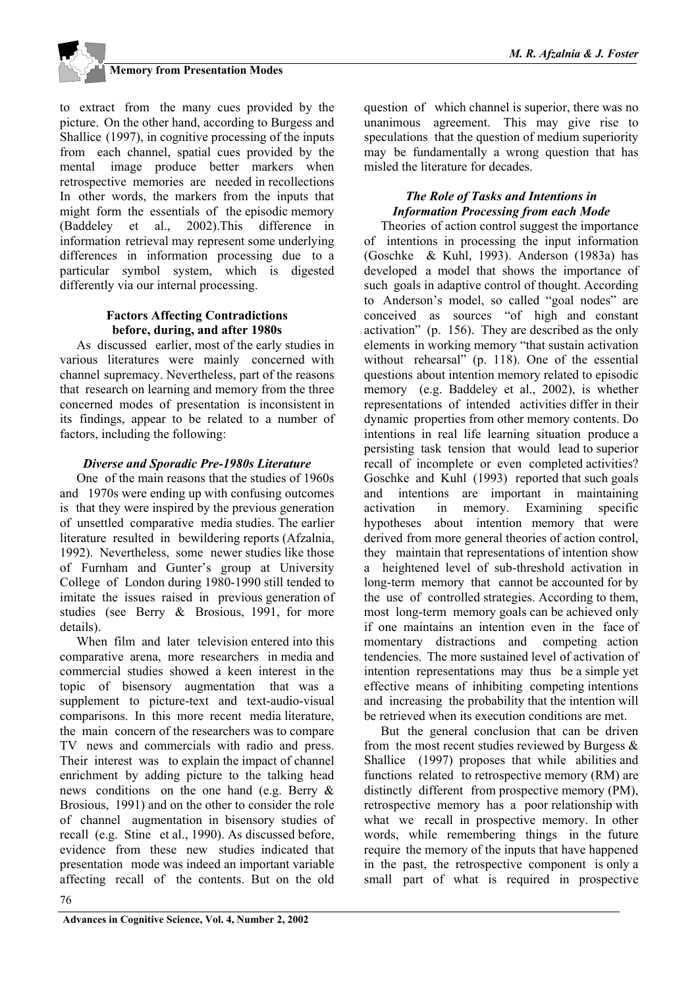

to extract from the many cues provided by the picture. On the other hand, according to Burgess and Shallice (1997), in cognitive processing of the inputs from each channel, spatial cues provided by the mental image produce better markers when retrospective memories are needed in recollections In other words, the markers from the inputs that might form the essentials of the episodic memory (Baddeley et al., 2002).This difference in information retrieval may represent some underlying differences in information processing due to a particular symbol system, which is digested differently via our internal processing.

#### **Factors Affecting Contradictions before, during, and after 1980s**

As discussed earlier, most of the early studies in various literatures were mainly concerned with channel supremacy. Nevertheless, part of the reasons that research on learning and memory from the three concerned modes of presentation is inconsistent in its findings, appear to be related to a number of factors, including the following:

### *Diverse and Sporadic Pre-1980s Literature*

One of the main reasons that the studies of 1960s and 1970s were ending up with confusing outcomes is that they were inspired by the previous generation of unsettled comparative media studies. The earlier literature resulted in bewildering reports (Afzalnia, 1992). Nevertheless, some newer studies like those of Furnham and Gunter's group at University College of London during 1980-1990 still tended to imitate the issues raised in previous generation of studies (see Berry & Brosious, 1991, for more details).

When film and later television entered into this comparative arena, more researchers in media and commercial studies showed a keen interest in the topic of bisensory augmentation that was a supplement to picture-text and text-audio-visual comparisons. In this more recent media literature, the main concern of the researchers was to compare TV news and commercials with radio and press. Their interest was to explain the impact of channel enrichment by adding picture to the talking head news conditions on the one hand (e.g. Berry & Brosious, 1991) and on the other to consider the role of channel augmentation in bisensory studies of recall (e.g. Stine et al., 1990). As discussed before, evidence from these new studies indicated that presentation mode was indeed an important variable affecting recall of the contents. But on the old

question of which channel is superior, there was no unanimous agreement. This may give rise to speculations that the question of medium superiority may be fundamentally a wrong question that has misled the literature for decades.

#### *The Role of Tasks and Intentions in Information Processing from each Mode*

Theories of action control suggest the importance of intentions in processing the input information (Goschke & Kuhl, 1993). Anderson (1983a) has developed a model that shows the importance of such goals in adaptive control of thought. According to Anderson's model, so called "goal nodes" are conceived as sources "of high and constant activation" (p. 156). They are described as the only elements in working memory "that sustain activation without rehearsal" (p. 118). One of the essential questions about intention memory related to episodic memory (e.g. Baddeley et al., 2002), is whether representations of intended activities differ in their dynamic properties from other memory contents. Do intentions in real life learning situation produce a persisting task tension that would lead to superior recall of incomplete or even completed activities? Goschke and Kuhl (1993) reported that such goals and intentions are important in maintaining activation in memory. Examining specific hypotheses about intention memory that were derived from more general theories of action control, they maintain that representations of intention show a heightened level of sub-threshold activation in long-term memory that cannot be accounted for by the use of controlled strategies. According to them, most long-term memory goals can be achieved only if one maintains an intention even in the face of momentary distractions and competing action tendencies. The more sustained level of activation of intention representations may thus be a simple yet effective means of inhibiting competing intentions and increasing the probability that the intention will be retrieved when its execution conditions are met.

But the general conclusion that can be driven from the most recent studies reviewed by Burgess  $\&$ Shallice (1997) proposes that while abilities and functions related to retrospective memory (RM) are distinctly different from prospective memory (PM), retrospective memory has a poor relationship with what we recall in prospective memory. In other words, while remembering things in the future require the memory of the inputs that have happened in the past, the retrospective component is only a small part of what is required in prospective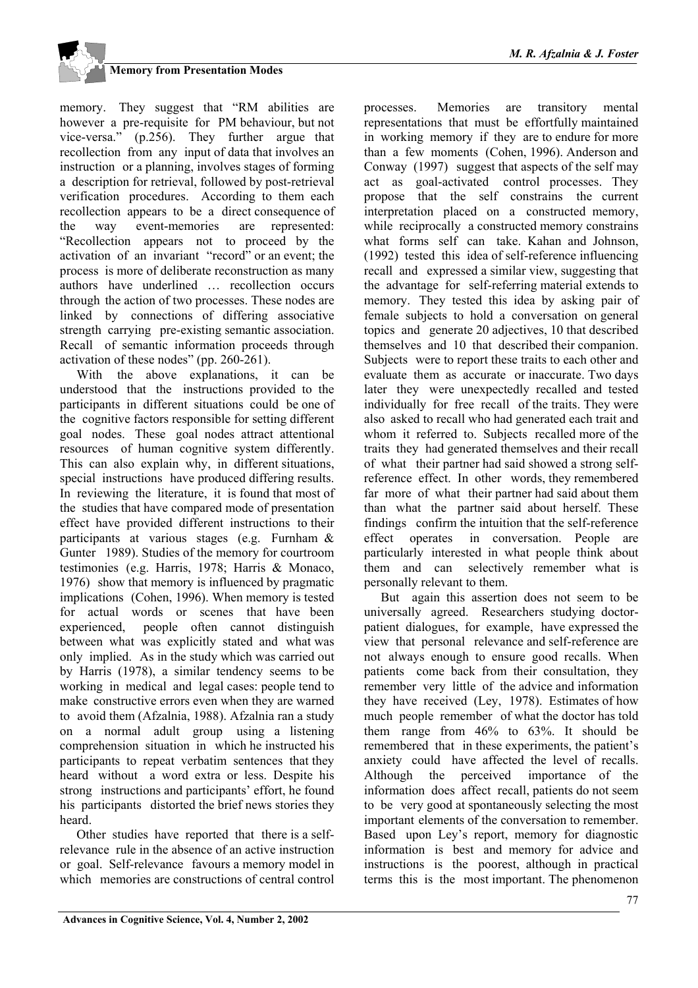memory. They suggest that "RM abilities are however a pre-requisite for PM behaviour, but not vice-versa." (p.256). They further argue that recollection from any input of data that involves an instruction or a planning, involves stages of forming a description for retrieval, followed by post-retrieval verification procedures. According to them each recollection appears to be a direct consequence of the way event-memories are represented: "Recollection appears not to proceed by the activation of an invariant "record" or an event; the process is more of deliberate reconstruction as many authors have underlined … recollection occurs through the action of two processes. These nodes are linked by connections of differing associative strength carrying pre-existing semantic association. Recall of semantic information proceeds through activation of these nodes" (pp. 260-261).

With the above explanations, it can be understood that the instructions provided to the participants in different situations could be one of the cognitive factors responsible for setting different goal nodes. These goal nodes attract attentional resources of human cognitive system differently. This can also explain why, in different situations, special instructions have produced differing results. In reviewing the literature, it is found that most of the studies that have compared mode of presentation effect have provided different instructions to their participants at various stages (e.g. Furnham & Gunter 1989). Studies of the memory for courtroom testimonies (e.g. Harris, 1978; Harris & Monaco, 1976) show that memory is influenced by pragmatic implications (Cohen, 1996). When memory is tested for actual words or scenes that have been experienced, people often cannot distinguish between what was explicitly stated and what was only implied. As in the study which was carried out by Harris (1978), a similar tendency seems to be working in medical and legal cases: people tend to make constructive errors even when they are warned to avoid them (Afzalnia, 1988). Afzalnia ran a study on a normal adult group using a listening comprehension situation in which he instructed his participants to repeat verbatim sentences that they heard without a word extra or less. Despite his strong instructions and participants' effort, he found his participants distorted the brief news stories they heard.

Other studies have reported that there is a selfrelevance rule in the absence of an active instruction or goal. Self-relevance favours a memory model in which memories are constructions of central control

processes. Memories are transitory mental representations that must be effortfully maintained in working memory if they are to endure for more than a few moments (Cohen, 1996). Anderson and Conway (1997) suggest that aspects of the self may act as goal-activated control processes. They propose that the self constrains the current interpretation placed on a constructed memory, while reciprocally a constructed memory constrains what forms self can take. Kahan and Johnson, (1992) tested this idea of self-reference influencing recall and expressed a similar view, suggesting that the advantage for self-referring material extends to memory. They tested this idea by asking pair of female subjects to hold a conversation on general topics and generate 20 adjectives, 10 that described themselves and 10 that described their companion. Subjects were to report these traits to each other and evaluate them as accurate or inaccurate. Two days later they were unexpectedly recalled and tested individually for free recall of the traits. They were also asked to recall who had generated each trait and whom it referred to. Subjects recalled more of the traits they had generated themselves and their recall of what their partner had said showed a strong selfreference effect. In other words, they remembered far more of what their partner had said about them than what the partner said about herself. These findings confirm the intuition that the self-reference effect operates in conversation. People are particularly interested in what people think about them and can selectively remember what is personally relevant to them.

But again this assertion does not seem to be universally agreed. Researchers studying doctorpatient dialogues, for example, have expressed the view that personal relevance and self-reference are not always enough to ensure good recalls. When patients come back from their consultation, they remember very little of the advice and information they have received (Ley, 1978). Estimates of how much people remember of what the doctor has told them range from 46% to 63%. It should be remembered that in these experiments, the patient's anxiety could have affected the level of recalls. Although the perceived importance of the information does affect recall, patients do not seem to be very good at spontaneously selecting the most important elements of the conversation to remember. Based upon Ley's report, memory for diagnostic information is best and memory for advice and instructions is the poorest, although in practical terms this is the most important. The phenomenon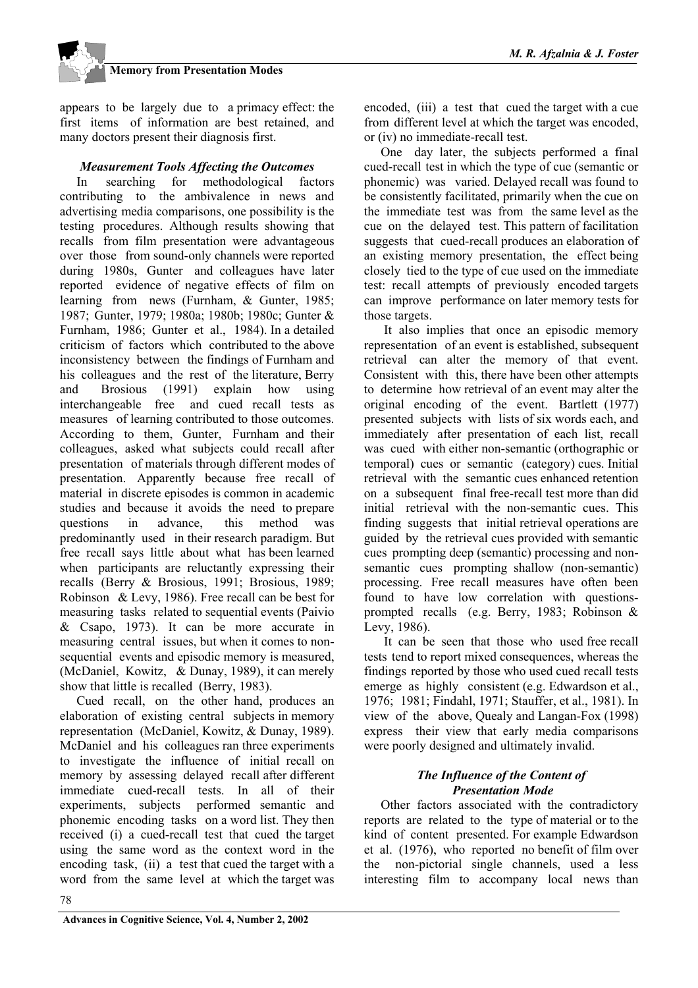appears to be largely due to a primacy effect: the first items of information are best retained, and many doctors present their diagnosis first.

#### *Measurement Tools Affecting the Outcomes*

In searching for methodological factors contributing to the ambivalence in news and advertising media comparisons, one possibility is the testing procedures. Although results showing that recalls from film presentation were advantageous over those from sound-only channels were reported during 1980s, Gunter and colleagues have later reported evidence of negative effects of film on learning from news (Furnham, & Gunter, 1985; 1987; Gunter, 1979; 1980a; 1980b; 1980c; Gunter & Furnham, 1986; Gunter et al., 1984). In a detailed criticism of factors which contributed to the above inconsistency between the findings of Furnham and his colleagues and the rest of the literature, Berry and Brosious (1991) explain how using interchangeable free and cued recall tests as measures of learning contributed to those outcomes. According to them, Gunter, Furnham and their colleagues, asked what subjects could recall after presentation of materials through different modes of presentation. Apparently because free recall of material in discrete episodes is common in academic studies and because it avoids the need to prepare questions in advance, this method was predominantly used in their research paradigm. But free recall says little about what has been learned when participants are reluctantly expressing their recalls (Berry & Brosious, 1991; Brosious, 1989; Robinson & Levy, 1986). Free recall can be best for measuring tasks related to sequential events (Paivio & Csapo, 1973). It can be more accurate in measuring central issues, but when it comes to nonsequential events and episodic memory is measured, (McDaniel, Kowitz, & Dunay, 1989), it can merely show that little is recalled (Berry, 1983).

Cued recall, on the other hand, produces an elaboration of existing central subjects in memory representation (McDaniel, Kowitz, & Dunay, 1989). McDaniel and his colleagues ran three experiments to investigate the influence of initial recall on memory by assessing delayed recall after different immediate cued-recall tests. In all of their experiments, subjects performed semantic and phonemic encoding tasks on a word list. They then received (i) a cued-recall test that cued the target using the same word as the context word in the encoding task, (ii) a test that cued the target with a word from the same level at which the target was

encoded, (iii) a test that cued the target with a cue from different level at which the target was encoded, or (iv) no immediate-recall test.

One day later, the subjects performed a final cued-recall test in which the type of cue (semantic or phonemic) was varied. Delayed recall was found to be consistently facilitated, primarily when the cue on the immediate test was from the same level as the cue on the delayed test. This pattern of facilitation suggests that cued-recall produces an elaboration of an existing memory presentation, the effect being closely tied to the type of cue used on the immediate test: recall attempts of previously encoded targets can improve performance on later memory tests for those targets.

 It also implies that once an episodic memory representation of an event is established, subsequent retrieval can alter the memory of that event. Consistent with this, there have been other attempts to determine how retrieval of an event may alter the original encoding of the event. Bartlett (1977) presented subjects with lists of six words each, and immediately after presentation of each list, recall was cued with either non-semantic (orthographic or temporal) cues or semantic (category) cues. Initial retrieval with the semantic cues enhanced retention on a subsequent final free-recall test more than did initial retrieval with the non-semantic cues. This finding suggests that initial retrieval operations are guided by the retrieval cues provided with semantic cues prompting deep (semantic) processing and nonsemantic cues prompting shallow (non-semantic) processing. Free recall measures have often been found to have low correlation with questionsprompted recalls (e.g. Berry, 1983; Robinson & Levy, 1986).

 It can be seen that those who used free recall tests tend to report mixed consequences, whereas the findings reported by those who used cued recall tests emerge as highly consistent (e.g. Edwardson et al., 1976; 1981; Findahl, 1971; Stauffer, et al., 1981). In view of the above, Quealy and Langan-Fox (1998) express their view that early media comparisons were poorly designed and ultimately invalid.

#### *The Influence of the Content of Presentation Mode*

Other factors associated with the contradictory reports are related to the type of material or to the kind of content presented. For example Edwardson et al. (1976), who reported no benefit of film over the non-pictorial single channels, used a less interesting film to accompany local news than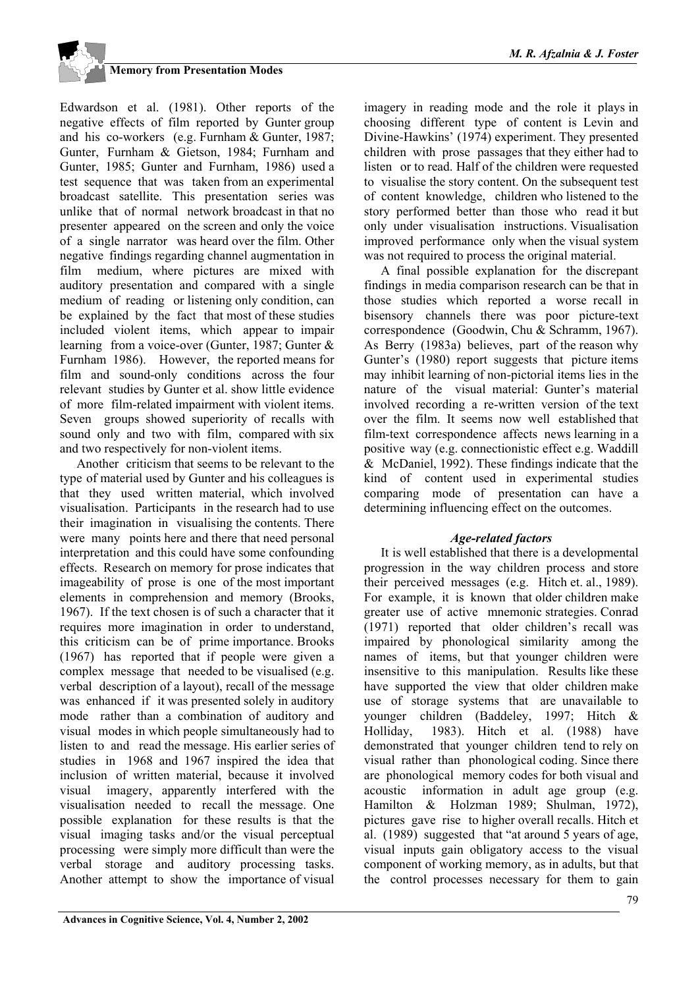

Edwardson et al. (1981). Other reports of the negative effects of film reported by Gunter group and his co-workers (e.g. Furnham & Gunter, 1987; Gunter, Furnham & Gietson, 1984; Furnham and Gunter, 1985; Gunter and Furnham, 1986) used a test sequence that was taken from an experimental broadcast satellite. This presentation series was unlike that of normal network broadcast in that no presenter appeared on the screen and only the voice of a single narrator was heard over the film. Other negative findings regarding channel augmentation in film medium, where pictures are mixed with auditory presentation and compared with a single medium of reading or listening only condition, can be explained by the fact that most of these studies included violent items, which appear to impair learning from a voice-over (Gunter, 1987; Gunter & Furnham 1986). However, the reported means for film and sound-only conditions across the four relevant studies by Gunter et al. show little evidence of more film-related impairment with violent items. Seven groups showed superiority of recalls with sound only and two with film, compared with six and two respectively for non-violent items.

Another criticism that seems to be relevant to the type of material used by Gunter and his colleagues is that they used written material, which involved visualisation. Participants in the research had to use their imagination in visualising the contents. There were many points here and there that need personal interpretation and this could have some confounding effects. Research on memory for prose indicates that imageability of prose is one of the most important elements in comprehension and memory (Brooks, 1967). If the text chosen is of such a character that it requires more imagination in order to understand, this criticism can be of prime importance. Brooks (1967) has reported that if people were given a complex message that needed to be visualised (e.g. verbal description of a layout), recall of the message was enhanced if it was presented solely in auditory mode rather than a combination of auditory and visual modes in which people simultaneously had to listen to and read the message. His earlier series of studies in 1968 and 1967 inspired the idea that inclusion of written material, because it involved visual imagery, apparently interfered with the visualisation needed to recall the message. One possible explanation for these results is that the visual imaging tasks and/or the visual perceptual processing were simply more difficult than were the verbal storage and auditory processing tasks. Another attempt to show the importance of visual

imagery in reading mode and the role it plays in choosing different type of content is Levin and Divine-Hawkins' (1974) experiment. They presented children with prose passages that they either had to listen or to read. Half of the children were requested to visualise the story content. On the subsequent test of content knowledge, children who listened to the story performed better than those who read it but only under visualisation instructions. Visualisation improved performance only when the visual system was not required to process the original material.

A final possible explanation for the discrepant findings in media comparison research can be that in those studies which reported a worse recall in bisensory channels there was poor picture-text correspondence (Goodwin, Chu & Schramm, 1967). As Berry (1983a) believes, part of the reason why Gunter's (1980) report suggests that picture items may inhibit learning of non-pictorial items lies in the nature of the visual material: Gunter's material involved recording a re-written version of the text over the film. It seems now well established that film-text correspondence affects news learning in a positive way (e.g. connectionistic effect e.g. Waddill & McDaniel, 1992). These findings indicate that the kind of content used in experimental studies comparing mode of presentation can have a determining influencing effect on the outcomes.

### *Age-related factors*

It is well established that there is a developmental progression in the way children process and store their perceived messages (e.g. Hitch et. al., 1989). For example, it is known that older children make greater use of active mnemonic strategies. Conrad (1971) reported that older children's recall was impaired by phonological similarity among the names of items, but that younger children were insensitive to this manipulation. Results like these have supported the view that older children make use of storage systems that are unavailable to younger children (Baddeley, 1997; Hitch & Holliday, 1983). Hitch et al. (1988) have demonstrated that younger children tend to rely on visual rather than phonological coding. Since there are phonological memory codes for both visual and acoustic information in adult age group (e.g. Hamilton & Holzman 1989; Shulman, 1972), pictures gave rise to higher overall recalls. Hitch et al. (1989) suggested that "at around 5 years of age, visual inputs gain obligatory access to the visual component of working memory, as in adults, but that the control processes necessary for them to gain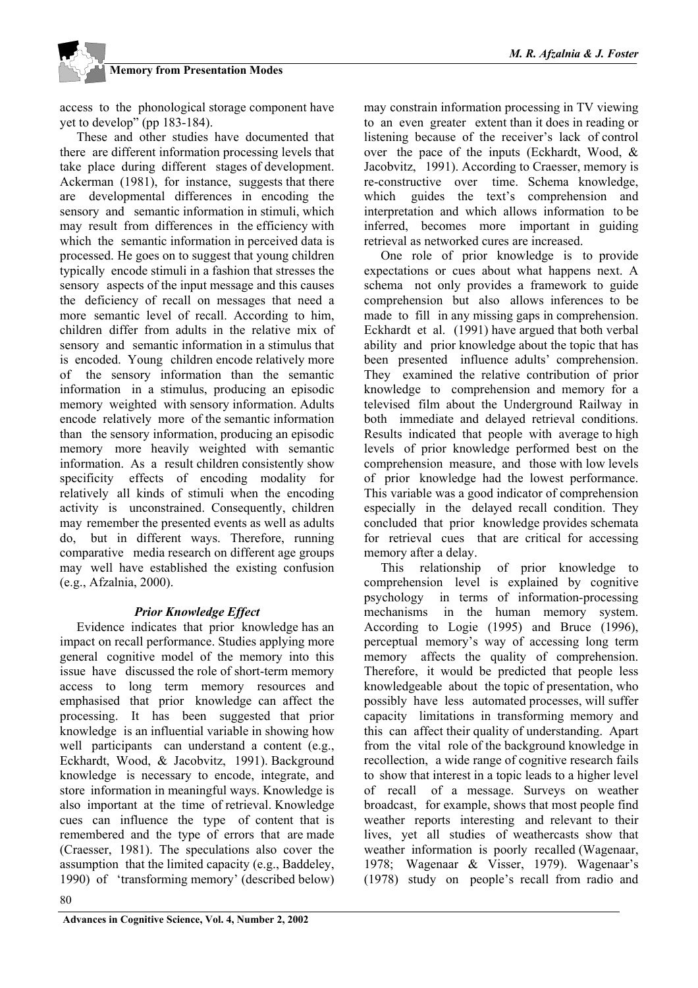access to the phonological storage component have yet to develop" (pp 183-184).

These and other studies have documented that there are different information processing levels that take place during different stages of development. Ackerman (1981), for instance, suggests that there are developmental differences in encoding the sensory and semantic information in stimuli, which may result from differences in the efficiency with which the semantic information in perceived data is processed. He goes on to suggest that young children typically encode stimuli in a fashion that stresses the sensory aspects of the input message and this causes the deficiency of recall on messages that need a more semantic level of recall. According to him, children differ from adults in the relative mix of sensory and semantic information in a stimulus that is encoded. Young children encode relatively more of the sensory information than the semantic information in a stimulus, producing an episodic memory weighted with sensory information. Adults encode relatively more of the semantic information than the sensory information, producing an episodic memory more heavily weighted with semantic information. As a result children consistently show specificity effects of encoding modality for relatively all kinds of stimuli when the encoding activity is unconstrained. Consequently, children may remember the presented events as well as adults do, but in different ways. Therefore, running comparative media research on different age groups may well have established the existing confusion (e.g., Afzalnia, 2000).

### *Prior Knowledge Effect*

Evidence indicates that prior knowledge has an impact on recall performance. Studies applying more general cognitive model of the memory into this issue have discussed the role of short-term memory access to long term memory resources and emphasised that prior knowledge can affect the processing. It has been suggested that prior knowledge is an influential variable in showing how well participants can understand a content (e.g., Eckhardt, Wood, & Jacobvitz, 1991). Background knowledge is necessary to encode, integrate, and store information in meaningful ways. Knowledge is also important at the time of retrieval. Knowledge cues can influence the type of content that is remembered and the type of errors that are made (Craesser, 1981). The speculations also cover the assumption that the limited capacity (e.g., Baddeley, 1990) of 'transforming memory' (described below) may constrain information processing in TV viewing to an even greater extent than it does in reading or listening because of the receiver's lack of control over the pace of the inputs (Eckhardt, Wood, & Jacobvitz, 1991). According to Craesser, memory is re-constructive over time. Schema knowledge, which guides the text's comprehension and interpretation and which allows information to be inferred, becomes more important in guiding retrieval as networked cures are increased.

One role of prior knowledge is to provide expectations or cues about what happens next. A schema not only provides a framework to guide comprehension but also allows inferences to be made to fill in any missing gaps in comprehension. Eckhardt et al. (1991) have argued that both verbal ability and prior knowledge about the topic that has been presented influence adults' comprehension. They examined the relative contribution of prior knowledge to comprehension and memory for a televised film about the Underground Railway in both immediate and delayed retrieval conditions. Results indicated that people with average to high levels of prior knowledge performed best on the comprehension measure, and those with low levels of prior knowledge had the lowest performance. This variable was a good indicator of comprehension especially in the delayed recall condition. They concluded that prior knowledge provides schemata for retrieval cues that are critical for accessing memory after a delay.

This relationship of prior knowledge to comprehension level is explained by cognitive psychology in terms of information-processing mechanisms in the human memory system. According to Logie (1995) and Bruce (1996), perceptual memory's way of accessing long term memory affects the quality of comprehension. Therefore, it would be predicted that people less knowledgeable about the topic of presentation, who possibly have less automated processes, will suffer capacity limitations in transforming memory and this can affect their quality of understanding. Apart from the vital role of the background knowledge in recollection, a wide range of cognitive research fails to show that interest in a topic leads to a higher level of recall of a message. Surveys on weather broadcast, for example, shows that most people find weather reports interesting and relevant to their lives, yet all studies of weathercasts show that weather information is poorly recalled (Wagenaar, 1978; Wagenaar & Visser, 1979). Wagenaar's (1978) study on people's recall from radio and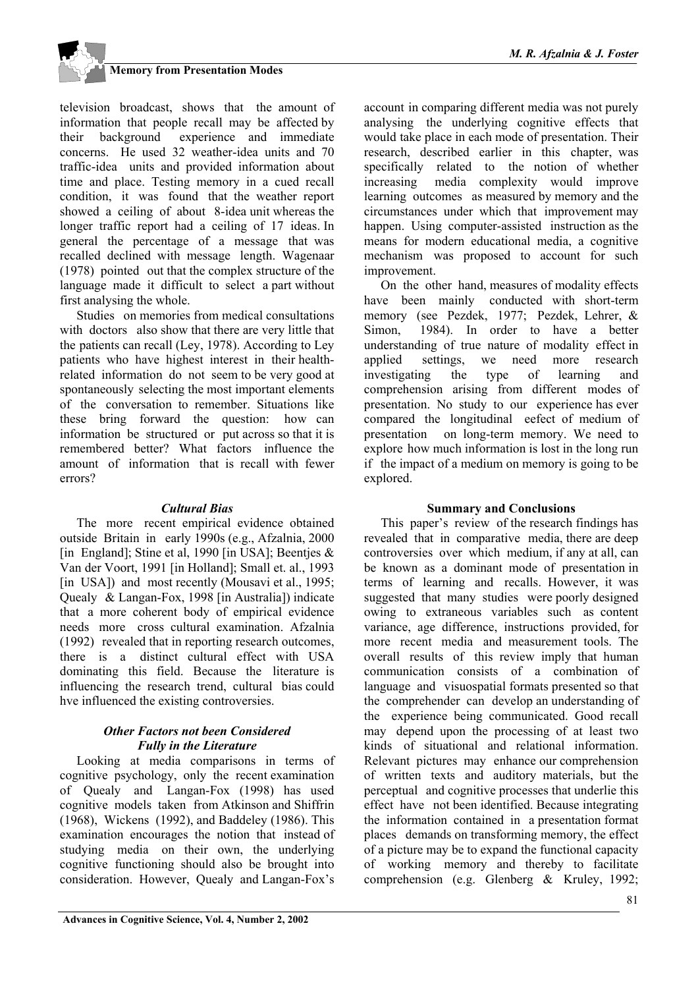television broadcast, shows that the amount of information that people recall may be affected by their background experience and immediate concerns. He used 32 weather-idea units and 70 traffic-idea units and provided information about time and place. Testing memory in a cued recall condition, it was found that the weather report showed a ceiling of about 8-idea unit whereas the longer traffic report had a ceiling of 17 ideas. In general the percentage of a message that was recalled declined with message length. Wagenaar (1978) pointed out that the complex structure of the language made it difficult to select a part without first analysing the whole.

Studies on memories from medical consultations with doctors also show that there are very little that the patients can recall (Ley, 1978). According to Ley patients who have highest interest in their healthrelated information do not seem to be very good at spontaneously selecting the most important elements of the conversation to remember. Situations like these bring forward the question: how can information be structured or put across so that it is remembered better? What factors influence the amount of information that is recall with fewer errors?

#### *Cultural Bias*

The more recent empirical evidence obtained outside Britain in early 1990s (e.g., Afzalnia, 2000 [in England]; Stine et al, 1990 [in USA]; Beenties  $\&$ Van der Voort, 1991 [in Holland]; Small et. al., 1993 [in USA]) and most recently (Mousavi et al., 1995; Quealy & Langan-Fox, 1998 [in Australia]) indicate that a more coherent body of empirical evidence needs more cross cultural examination. Afzalnia (1992) revealed that in reporting research outcomes, there is a distinct cultural effect with USA dominating this field. Because the literature is influencing the research trend, cultural bias could hve influenced the existing controversies.

#### *Other Factors not been Considered Fully in the Literature*

Looking at media comparisons in terms of cognitive psychology, only the recent examination of Quealy and Langan-Fox (1998) has used cognitive models taken from Atkinson and Shiffrin (1968), Wickens (1992), and Baddeley (1986). This examination encourages the notion that instead of studying media on their own, the underlying cognitive functioning should also be brought into consideration. However, Quealy and Langan-Fox's

account in comparing different media was not purely analysing the underlying cognitive effects that would take place in each mode of presentation. Their research, described earlier in this chapter, was specifically related to the notion of whether increasing media complexity would improve learning outcomes as measured by memory and the circumstances under which that improvement may happen. Using computer-assisted instruction as the means for modern educational media, a cognitive mechanism was proposed to account for such improvement.

On the other hand, measures of modality effects have been mainly conducted with short-term memory (see Pezdek, 1977; Pezdek, Lehrer, & Simon, 1984). In order to have a better understanding of true nature of modality effect in applied settings, we need more research investigating the type of learning and comprehension arising from different modes of presentation. No study to our experience has ever compared the longitudinal eefect of medium of presentation on long-term memory. We need to explore how much information is lost in the long run if the impact of a medium on memory is going to be explored.

#### **Summary and Conclusions**

This paper's review of the research findings has revealed that in comparative media, there are deep controversies over which medium, if any at all, can be known as a dominant mode of presentation in terms of learning and recalls. However, it was suggested that many studies were poorly designed owing to extraneous variables such as content variance, age difference, instructions provided, for more recent media and measurement tools. The overall results of this review imply that human communication consists of a combination of language and visuospatial formats presented so that the comprehender can develop an understanding of the experience being communicated. Good recall may depend upon the processing of at least two kinds of situational and relational information. Relevant pictures may enhance our comprehension of written texts and auditory materials, but the perceptual and cognitive processes that underlie this effect have not been identified. Because integrating the information contained in a presentation format places demands on transforming memory, the effect of a picture may be to expand the functional capacity of working memory and thereby to facilitate comprehension (e.g. Glenberg & Kruley, 1992;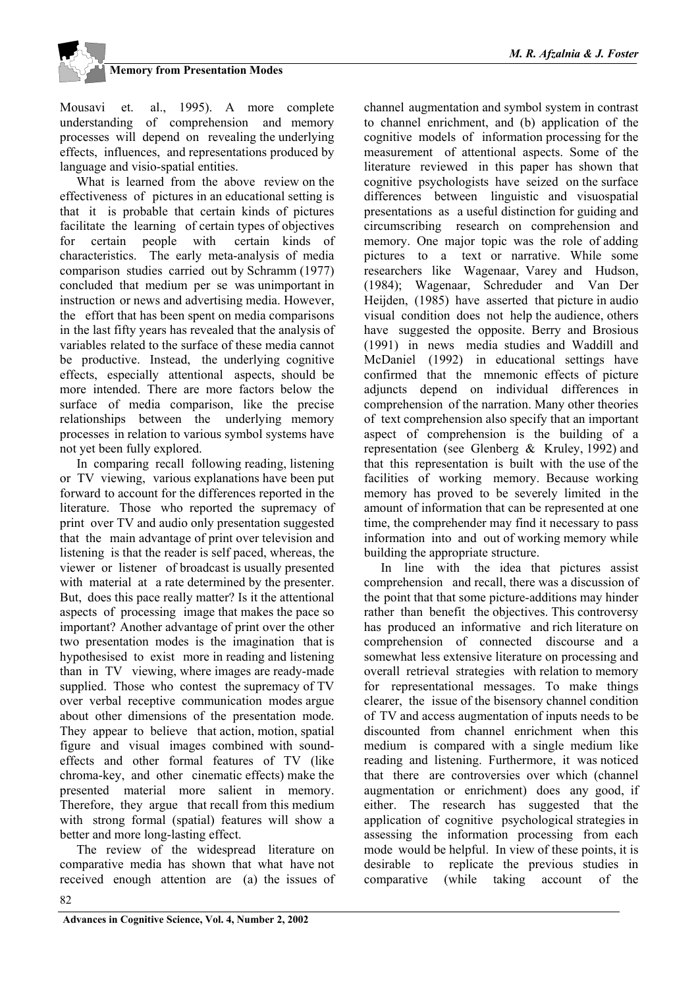Mousavi et. al., 1995). A more complete understanding of comprehension and memory processes will depend on revealing the underlying effects, influences, and representations produced by language and visio-spatial entities.

What is learned from the above review on the effectiveness of pictures in an educational setting is that it is probable that certain kinds of pictures facilitate the learning of certain types of objectives for certain people with certain kinds of characteristics. The early meta-analysis of media comparison studies carried out by Schramm (1977) concluded that medium per se was unimportant in instruction or news and advertising media. However, the effort that has been spent on media comparisons in the last fifty years has revealed that the analysis of variables related to the surface of these media cannot be productive. Instead, the underlying cognitive effects, especially attentional aspects, should be more intended. There are more factors below the surface of media comparison, like the precise relationships between the underlying memory processes in relation to various symbol systems have not yet been fully explored.

In comparing recall following reading, listening or TV viewing, various explanations have been put forward to account for the differences reported in the literature. Those who reported the supremacy of print over TV and audio only presentation suggested that the main advantage of print over television and listening is that the reader is self paced, whereas, the viewer or listener of broadcast is usually presented with material at a rate determined by the presenter. But, does this pace really matter? Is it the attentional aspects of processing image that makes the pace so important? Another advantage of print over the other two presentation modes is the imagination that is hypothesised to exist more in reading and listening than in TV viewing, where images are ready-made supplied. Those who contest the supremacy of TV over verbal receptive communication modes argue about other dimensions of the presentation mode. They appear to believe that action, motion, spatial figure and visual images combined with soundeffects and other formal features of TV (like chroma-key, and other cinematic effects) make the presented material more salient in memory. Therefore, they argue that recall from this medium with strong formal (spatial) features will show a better and more long-lasting effect.

The review of the widespread literature on comparative media has shown that what have not received enough attention are (a) the issues of channel augmentation and symbol system in contrast to channel enrichment, and (b) application of the cognitive models of information processing for the measurement of attentional aspects. Some of the literature reviewed in this paper has shown that cognitive psychologists have seized on the surface differences between linguistic and visuospatial presentations as a useful distinction for guiding and circumscribing research on comprehension and memory. One major topic was the role of adding pictures to a text or narrative. While some researchers like Wagenaar, Varey and Hudson, (1984); Wagenaar, Schreduder and Van Der Heijden, (1985) have asserted that picture in audio visual condition does not help the audience, others have suggested the opposite. Berry and Brosious (1991) in news media studies and Waddill and McDaniel (1992) in educational settings have confirmed that the mnemonic effects of picture adjuncts depend on individual differences in comprehension of the narration. Many other theories of text comprehension also specify that an important aspect of comprehension is the building of a representation (see Glenberg & Kruley, 1992) and that this representation is built with the use of the facilities of working memory. Because working memory has proved to be severely limited in the amount of information that can be represented at one time, the comprehender may find it necessary to pass information into and out of working memory while building the appropriate structure.

In line with the idea that pictures assist comprehension and recall, there was a discussion of the point that that some picture-additions may hinder rather than benefit the objectives. This controversy has produced an informative and rich literature on comprehension of connected discourse and a somewhat less extensive literature on processing and overall retrieval strategies with relation to memory for representational messages. To make things clearer, the issue of the bisensory channel condition of TV and access augmentation of inputs needs to be discounted from channel enrichment when this medium is compared with a single medium like reading and listening. Furthermore, it was noticed that there are controversies over which (channel augmentation or enrichment) does any good, if either. The research has suggested that the application of cognitive psychological strategies in assessing the information processing from each mode would be helpful. In view of these points, it is desirable to replicate the previous studies in comparative (while taking account of the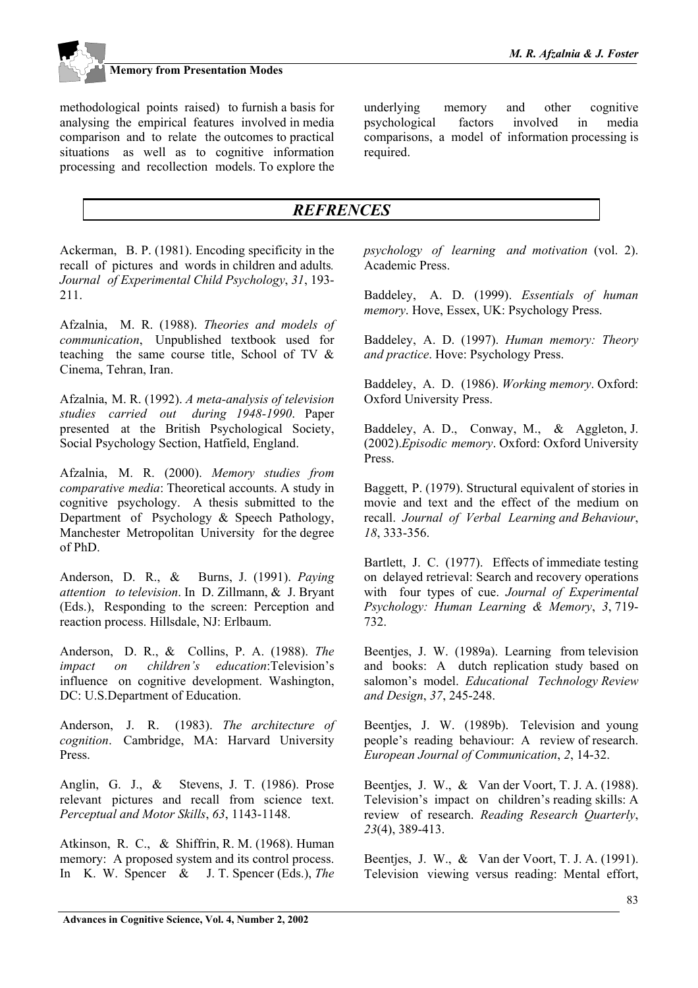

underlying memory and other cognitive psychological factors involved in media comparisons, a model of information processing is required.

### *REFRENCES*

Ackerman, B. P. (1981). Encoding specificity in the recall of pictures and words in children and adults*. Journal of Experimental Child Psychology*, *31*, 193- 211.

Afzalnia, M. R. (1988). *Theories and models of communication*, Unpublished textbook used for teaching the same course title, School of TV & Cinema, Tehran, Iran.

Afzalnia, M. R. (1992). *A meta-analysis of television studies carried out during 1948-1990*. Paper presented at the British Psychological Society, Social Psychology Section, Hatfield, England.

Afzalnia, M. R. (2000). *Memory studies from comparative media*: Theoretical accounts. A study in cognitive psychology. A thesis submitted to the Department of Psychology & Speech Pathology, Manchester Metropolitan University for the degree of PhD.

Anderson, D. R., & Burns, J. (1991). *Paying attention to television*. In D. Zillmann, & J. Bryant (Eds.), Responding to the screen: Perception and reaction process. Hillsdale, NJ: Erlbaum.

Anderson, D. R., & Collins, P. A. (1988). *The impact on children's education*:Television's influence on cognitive development. Washington, DC: U.S.Department of Education.

Anderson, J. R. (1983). *The architecture of cognition*. Cambridge, MA: Harvard University Press.

Anglin, G. J., & Stevens, J. T. (1986). Prose relevant pictures and recall from science text. *Perceptual and Motor Skills*, *63*, 1143-1148.

Atkinson, R. C., & Shiffrin, R. M. (1968). Human memory: A proposed system and its control process. In K. W. Spencer & J. T. Spencer (Eds.), *The* *psychology of learning and motivation* (vol. 2). Academic Press.

Baddeley, A. D. (1999). *Essentials of human memory*. Hove, Essex, UK: Psychology Press.

Baddeley, A. D. (1997). *Human memory: Theory and practice*. Hove: Psychology Press.

Baddeley, A. D. (1986). *Working memory*. Oxford: Oxford University Press.

Baddeley, A. D., Conway, M., & Aggleton, J. (2002).*Episodic memory*. Oxford: Oxford University Press.

Baggett, P. (1979). Structural equivalent of stories in movie and text and the effect of the medium on recall. *Journal of Verbal Learning and Behaviour*, *18*, 333-356.

Bartlett, J. C. (1977). Effects of immediate testing on delayed retrieval: Search and recovery operations with four types of cue. *Journal of Experimental Psychology: Human Learning & Memory*, *3*, 719- 732.

Beentjes, J. W. (1989a). Learning from television and books: A dutch replication study based on salomon's model. *Educational Technology Review and Design*, *37*, 245-248.

Beentjes, J. W. (1989b). Television and young people's reading behaviour: A review of research. *European Journal of Communication*, *2*, 14-32.

Beentjes, J. W., & Van der Voort, T. J. A. (1988). Television's impact on children's reading skills: A review of research. *Reading Research Quarterly*, *23*(4), 389-413.

Beentjes, J. W., & Van der Voort, T. J. A. (1991). Television viewing versus reading: Mental effort,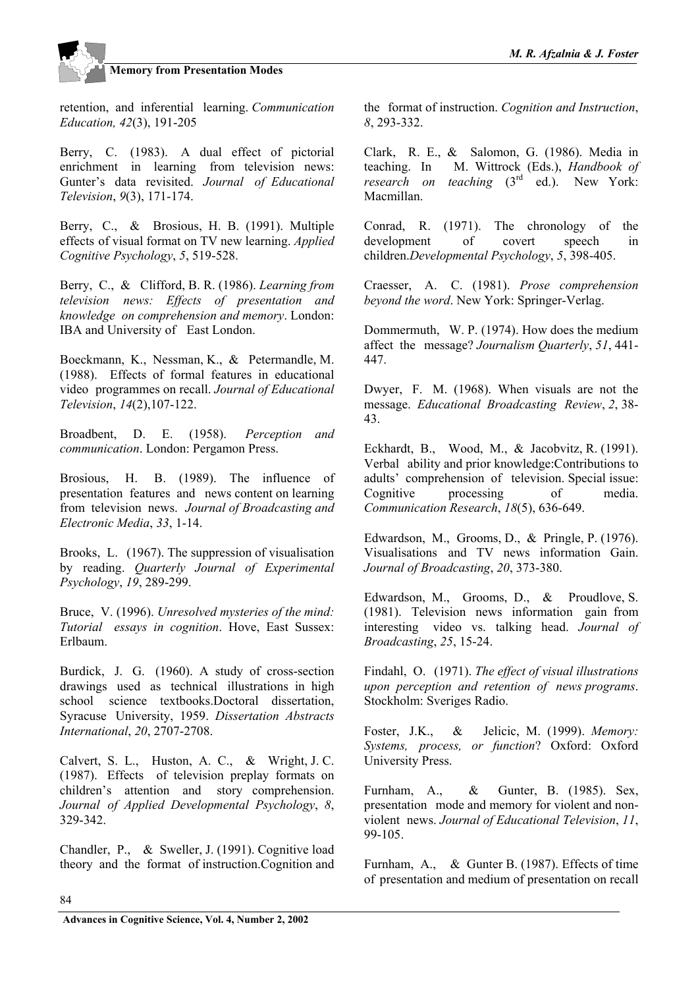retention, and inferential learning. *Communication Education, 42*(3), 191-205

Berry, C. (1983). A dual effect of pictorial enrichment in learning from television news: Gunter's data revisited. *Journal of Educational Television*, *9*(3), 171-174.

Berry, C., & Brosious, H. B. (1991). Multiple effects of visual format on TV new learning. *Applied Cognitive Psychology*, *5*, 519-528.

Berry, C., & Clifford, B. R. (1986). *Learning from television news: Effects of presentation and knowledge on comprehension and memory*. London: IBA and University of East London.

Boeckmann, K., Nessman, K., & Petermandle, M. (1988). Effects of formal features in educational video programmes on recall. *Journal of Educational Television*, *14*(2),107-122.

Broadbent, D. E. (1958). *Perception and communication*. London: Pergamon Press.

Brosious, H. B. (1989). The influence of presentation features and news content on learning from television news. *Journal of Broadcasting and Electronic Media*, *33*, 1-14.

Brooks, L. (1967). The suppression of visualisation by reading. *Quarterly Journal of Experimental Psychology*, *19*, 289-299.

Bruce, V. (1996). *Unresolved mysteries of the mind: Tutorial essays in cognition*. Hove, East Sussex: Erlbaum.

Burdick, J. G. (1960). A study of cross-section drawings used as technical illustrations in high school science textbooks.Doctoral dissertation, Syracuse University, 1959. *Dissertation Abstracts International*, *20*, 2707-2708.

Calvert, S. L., Huston, A. C., & Wright, J. C. (1987). Effects of television preplay formats on children's attention and story comprehension. *Journal of Applied Developmental Psychology*, *8*, 329-342.

Chandler, P., & Sweller, J. (1991). Cognitive load theory and the format of instruction.Cognition and

the format of instruction. *Cognition and Instruction*, *8*, 293-332.

Clark, R. E., & Salomon, G. (1986). Media in teaching. In M. Wittrock (Eds.), *Handbook of research on teaching*  $(3<sup>rd</sup>$  ed.). New York: Macmillan.

Conrad, R. (1971). The chronology of the development of covert speech in children.*Developmental Psychology*, *5*, 398-405.

Craesser, A. C. (1981). *Prose comprehension beyond the word*. New York: Springer-Verlag.

Dommermuth, W. P. (1974). How does the medium affect the message? *Journalism Quarterly*, *51*, 441- 447.

Dwyer, F. M. (1968). When visuals are not the message. *Educational Broadcasting Review*, *2*, 38- 43.

Eckhardt, B., Wood, M., & Jacobvitz, R. (1991). Verbal ability and prior knowledge:Contributions to adults' comprehension of television. Special issue: Cognitive processing of media. *Communication Research*, *18*(5), 636-649.

Edwardson, M., Grooms, D., & Pringle, P. (1976). Visualisations and TV news information Gain. *Journal of Broadcasting*, *20*, 373-380.

Edwardson, M., Grooms, D., & Proudlove, S. (1981). Television news information gain from interesting video vs. talking head. *Journal of Broadcasting*, *25*, 15-24.

Findahl, O. (1971). *The effect of visual illustrations upon perception and retention of news programs*. Stockholm: Sveriges Radio.

Foster, J.K., & Jelicic, M. (1999). *Memory: Systems, process, or function*? Oxford: Oxford University Press.

Furnham, A., & Gunter, B. (1985). Sex, presentation mode and memory for violent and nonviolent news. *Journal of Educational Television*, *11*, 99-105.

Furnham, A., & Gunter B. (1987). Effects of time of presentation and medium of presentation on recall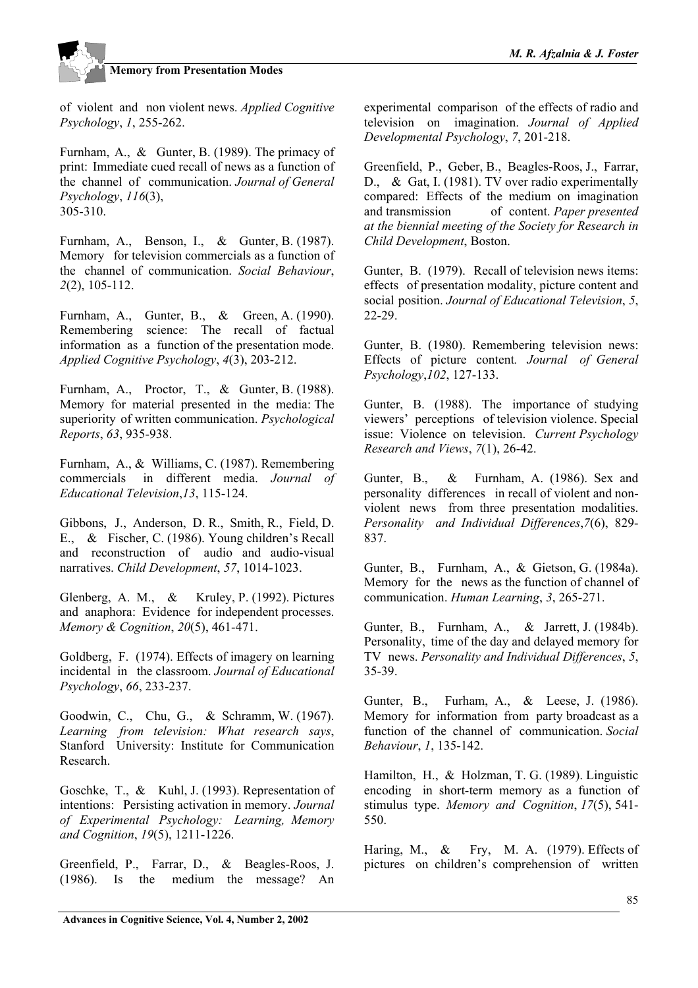

of violent and non violent news. *Applied Cognitive Psychology*, *1*, 255-262.

Furnham, A., & Gunter, B. (1989). The primacy of print: Immediate cued recall of news as a function of the channel of communication. *Journal of General Psychology*, *116*(3), 305-310.

Furnham, A., Benson, I., & Gunter, B. (1987). Memory for television commercials as a function of the channel of communication. *Social Behaviour*, *2*(2), 105-112.

Furnham, A., Gunter, B., & Green, A. (1990). Remembering science: The recall of factual information as a function of the presentation mode. *Applied Cognitive Psychology*, *4*(3), 203-212.

Furnham, A., Proctor, T., & Gunter, B. (1988). Memory for material presented in the media: The superiority of written communication. *Psychological Reports*, *63*, 935-938.

Furnham, A., & Williams, C. (1987). Remembering commercials in different media. *Journal of Educational Television*,*13*, 115-124.

Gibbons, J., Anderson, D. R., Smith, R., Field, D. E., & Fischer, C. (1986). Young children's Recall and reconstruction of audio and audio-visual narratives. *Child Development*, *57*, 1014-1023.

Glenberg, A. M., & Kruley, P. (1992). Pictures and anaphora: Evidence for independent processes. *Memory & Cognition*, *20*(5), 461-471.

Goldberg, F. (1974). Effects of imagery on learning incidental in the classroom. *Journal of Educational Psychology*, *66*, 233-237.

Goodwin, C., Chu, G., & Schramm, W. (1967). *Learning from television: What research says*, Stanford University: Institute for Communication Research.

Goschke, T., & Kuhl, J. (1993). Representation of intentions: Persisting activation in memory. *Journal of Experimental Psychology: Learning, Memory and Cognition*, *19*(5), 1211-1226.

Greenfield, P., Farrar, D., & Beagles-Roos, J. (1986). Is the medium the message? An experimental comparison of the effects of radio and television on imagination. *Journal of Applied Developmental Psychology*, *7*, 201-218.

Greenfield, P., Geber, B., Beagles-Roos, J., Farrar, D., & Gat, I. (1981). TV over radio experimentally compared: Effects of the medium on imagination and transmission of content. *Paper presented at the biennial meeting of the Society for Research in Child Development*, Boston.

Gunter, B. (1979). Recall of television news items: effects of presentation modality, picture content and social position. *Journal of Educational Television*, *5*, 22-29.

Gunter, B. (1980). Remembering television news: Effects of picture content*. Journal of General Psychology*,*102*, 127-133.

Gunter, B. (1988). The importance of studying viewers' perceptions of television violence. Special issue: Violence on television. *Current Psychology Research and Views*, *7*(1), 26-42.

Gunter, B., & Furnham, A. (1986). Sex and personality differences in recall of violent and nonviolent news from three presentation modalities. *Personality and Individual Differences*,*7*(6), 829- 837.

Gunter, B., Furnham, A., & Gietson, G. (1984a). Memory for the news as the function of channel of communication. *Human Learning*, *3*, 265-271.

Gunter, B., Furnham, A., & Jarrett, J. (1984b). Personality, time of the day and delayed memory for TV news. *Personality and Individual Differences*, *5*, 35-39.

Gunter, B., Furham, A., & Leese, J. (1986). Memory for information from party broadcast as a function of the channel of communication. *Social Behaviour*, *1*, 135-142.

Hamilton, H., & Holzman, T. G. (1989). Linguistic encoding in short-term memory as a function of stimulus type. *Memory and Cognition*, *17*(5), 541- 550.

Haring, M., & Fry, M. A. (1979). Effects of pictures on children's comprehension of written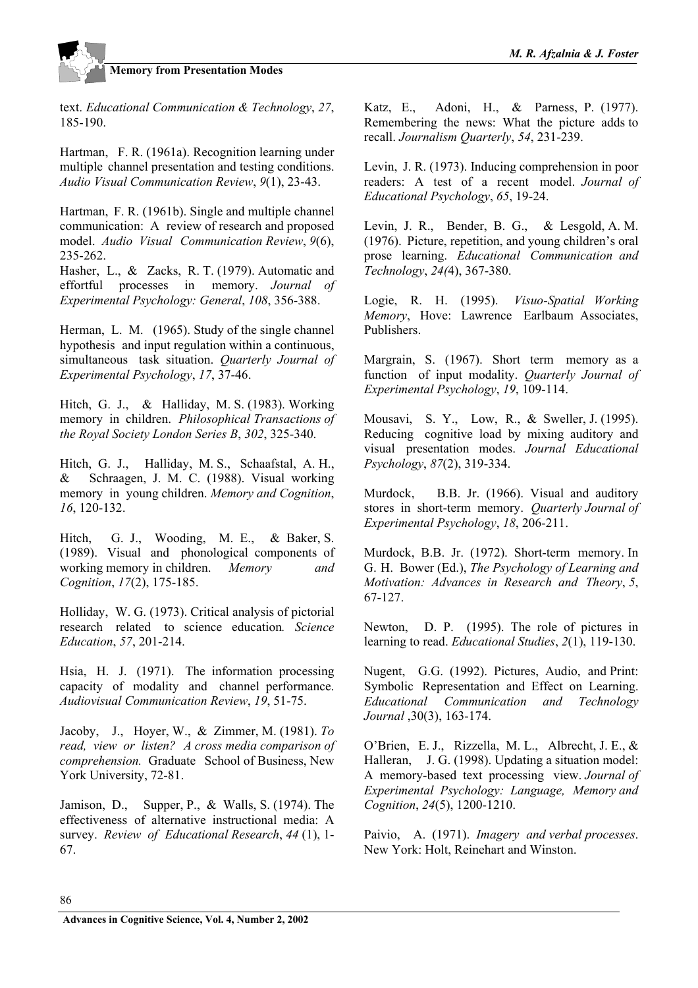

text. *Educational Communication & Technology*, *27*, 185-190.

Hartman, F. R. (1961a). Recognition learning under multiple channel presentation and testing conditions. *Audio Visual Communication Review*, *9*(1), 23-43.

Hartman, F. R. (1961b). Single and multiple channel communication: A review of research and proposed model. *Audio Visual Communication Review*, *9*(6), 235-262.

Hasher, L., & Zacks, R. T. (1979). Automatic and effortful processes in memory. *Journal of Experimental Psychology: General*, *108*, 356-388.

Herman, L. M. (1965). Study of the single channel hypothesis and input regulation within a continuous, simultaneous task situation. *Quarterly Journal of Experimental Psychology*, *17*, 37-46.

Hitch, G. J., & Halliday, M. S. (1983). Working memory in children. *Philosophical Transactions of the Royal Society London Series B*, *302*, 325-340.

Hitch, G. J., Halliday, M. S., Schaafstal, A. H., & Schraagen, J. M. C. (1988). Visual working memory in young children. *Memory and Cognition*, *16*, 120-132.

Hitch, G. J., Wooding, M. E., & Baker, S. (1989). Visual and phonological components of working memory in children. *Memory and Cognition*, *17*(2), 175-185.

Holliday, W. G. (1973). Critical analysis of pictorial research related to science education*. Science Education*, *57*, 201-214.

Hsia, H. J. (1971). The information processing capacity of modality and channel performance. *Audiovisual Communication Review*, *19*, 51-75.

Jacoby, J., Hoyer, W., & Zimmer, M. (1981). *To read, view or listen? A cross media comparison of comprehension.* Graduate School of Business, New York University, 72-81.

Jamison, D., Supper, P., & Walls, S. (1974). The effectiveness of alternative instructional media: A survey. *Review of Educational Research*, *44* (1), 1- 67.

Katz, E., Adoni, H., & Parness, P. (1977). Remembering the news: What the picture adds to recall. *Journalism Quarterly*, *54*, 231-239.

Levin, J. R. (1973). Inducing comprehension in poor readers: A test of a recent model. *Journal of Educational Psychology*, *65*, 19-24.

Levin, J. R., Bender, B. G., & Lesgold, A. M. (1976). Picture, repetition, and young children's oral prose learning. *Educational Communication and Technology*, *24(*4), 367-380.

Logie, R. H. (1995). *Visuo-Spatial Working Memory*, Hove: Lawrence Earlbaum Associates, Publishers.

Margrain, S. (1967). Short term memory as a function of input modality. *Quarterly Journal of Experimental Psychology*, *19*, 109-114.

Mousavi, S. Y., Low, R., & Sweller, J. (1995). Reducing cognitive load by mixing auditory and visual presentation modes. *Journal Educational Psychology*, *87*(2), 319-334.

Murdock, B.B. Jr. (1966). Visual and auditory stores in short-term memory. *Quarterly Journal of Experimental Psychology*, *18*, 206-211.

Murdock, B.B. Jr. (1972). Short-term memory. In G. H. Bower (Ed.), *The Psychology of Learning and Motivation: Advances in Research and Theory*, *5*, 67-127.

Newton, D. P. (1995). The role of pictures in learning to read. *Educational Studies*, *2*(1), 119-130.

Nugent, G.G. (1992). Pictures, Audio, and Print: Symbolic Representation and Effect on Learning. *Educational Communication and Technology Journal* ,30(3), 163-174.

O'Brien, E. J., Rizzella, M. L., Albrecht, J. E., & Halleran, J. G. (1998). Updating a situation model: A memory-based text processing view. *Journal of Experimental Psychology: Language, Memory and Cognition*, *24*(5), 1200-1210.

Paivio, A. (1971). *Imagery and verbal processes*. New York: Holt, Reinehart and Winston.

86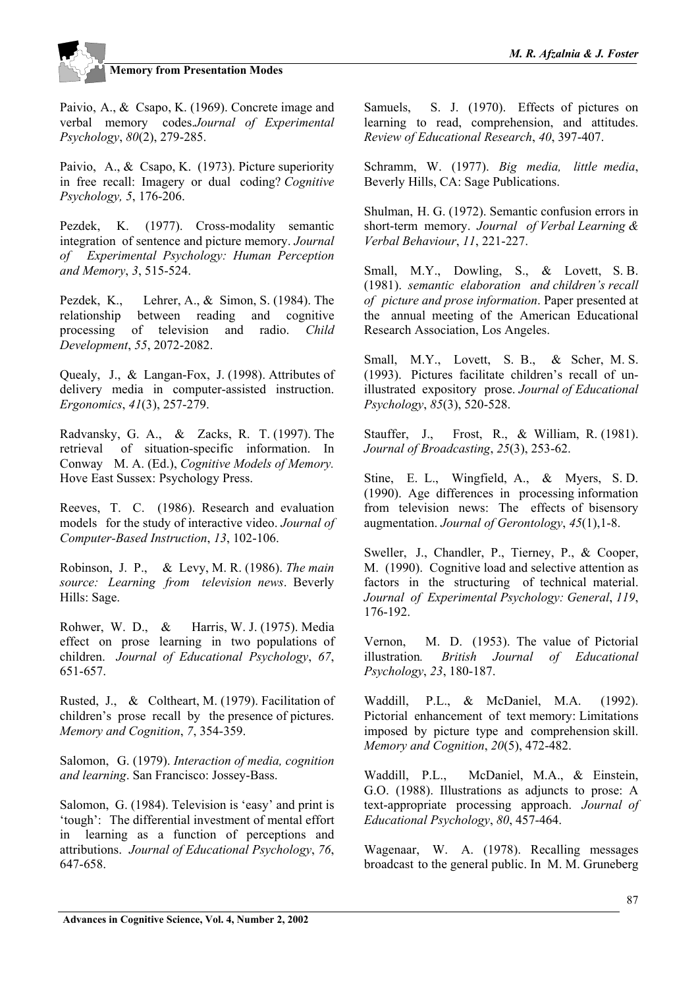Paivio, A., & Csapo, K. (1969). Concrete image and verbal memory codes.*Journal of Experimental Psychology*, *80*(2), 279-285.

Paivio, A., & Csapo, K. (1973). Picture superiority in free recall: Imagery or dual coding? *Cognitive Psychology, 5*, 176-206.

Pezdek, K. (1977). Cross-modality semantic integration of sentence and picture memory. *Journal of Experimental Psychology: Human Perception and Memory*, *3*, 515-524.

Pezdek, K., Lehrer, A., & Simon, S. (1984). The relationship between reading and cognitive processing of television and radio. *Child Development*, *55*, 2072-2082.

Quealy, J., & Langan-Fox, J. (1998). Attributes of delivery media in computer-assisted instruction. *Ergonomics*, *41*(3), 257-279.

Radvansky, G. A., & Zacks, R. T. (1997). The retrieval of situation-specific information. In Conway M. A. (Ed.), *Cognitive Models of Memory.* Hove East Sussex: Psychology Press.

Reeves, T. C. (1986). Research and evaluation models for the study of interactive video. *Journal of Computer-Based Instruction*, *13*, 102-106.

Robinson, J. P., & Levy, M. R. (1986). *The main source: Learning from television news*. Beverly Hills: Sage.

Rohwer, W. D., & Harris, W. J. (1975). Media effect on prose learning in two populations of children. *Journal of Educational Psychology*, *67*, 651-657.

Rusted, J., & Coltheart, M. (1979). Facilitation of children's prose recall by the presence of pictures. *Memory and Cognition*, *7*, 354-359.

Salomon, G. (1979). *Interaction of media, cognition and learning*. San Francisco: Jossey-Bass.

Salomon, G. (1984). Television is 'easy' and print is 'tough': The differential investment of mental effort in learning as a function of perceptions and attributions. *Journal of Educational Psychology*, *76*, 647-658.

Samuels, S. J. (1970). Effects of pictures on learning to read, comprehension, and attitudes. *Review of Educational Research*, *40*, 397-407.

Schramm, W. (1977). *Big media, little media*, Beverly Hills, CA: Sage Publications.

Shulman, H. G. (1972). Semantic confusion errors in short-term memory. *Journal of Verbal Learning & Verbal Behaviour*, *11*, 221-227.

Small, M.Y., Dowling, S., & Lovett, S.B. (1981). *semantic elaboration and children's recall of picture and prose information*. Paper presented at the annual meeting of the American Educational Research Association, Los Angeles.

Small, M.Y., Lovett, S. B., & Scher, M.S. (1993). Pictures facilitate children's recall of unillustrated expository prose. *Journal of Educational Psychology*, *85*(3), 520-528.

Stauffer, J., Frost, R., & William, R. (1981). *Journal of Broadcasting*, *25*(3), 253-62.

Stine, E. L., Wingfield, A., & Myers, S. D. (1990). Age differences in processing information from television news: The effects of bisensory augmentation. *Journal of Gerontology*, *45*(1),1-8.

Sweller, J., Chandler, P., Tierney, P., & Cooper, M. (1990). Cognitive load and selective attention as factors in the structuring of technical material. *Journal of Experimental Psychology: General*, *119*, 176-192.

Vernon, M. D. (1953). The value of Pictorial illustration*. British Journal of Educational Psychology*, *23*, 180-187.

Waddill, P.L., & McDaniel, M.A. (1992). Pictorial enhancement of text memory: Limitations imposed by picture type and comprehension skill. *Memory and Cognition*, *20*(5), 472-482.

Waddill, P.L., McDaniel, M.A., & Einstein, G.O. (1988). Illustrations as adjuncts to prose: A text-appropriate processing approach. *Journal of Educational Psychology*, *80*, 457-464.

Wagenaar, W. A. (1978). Recalling messages broadcast to the general public. In M. M. Gruneberg